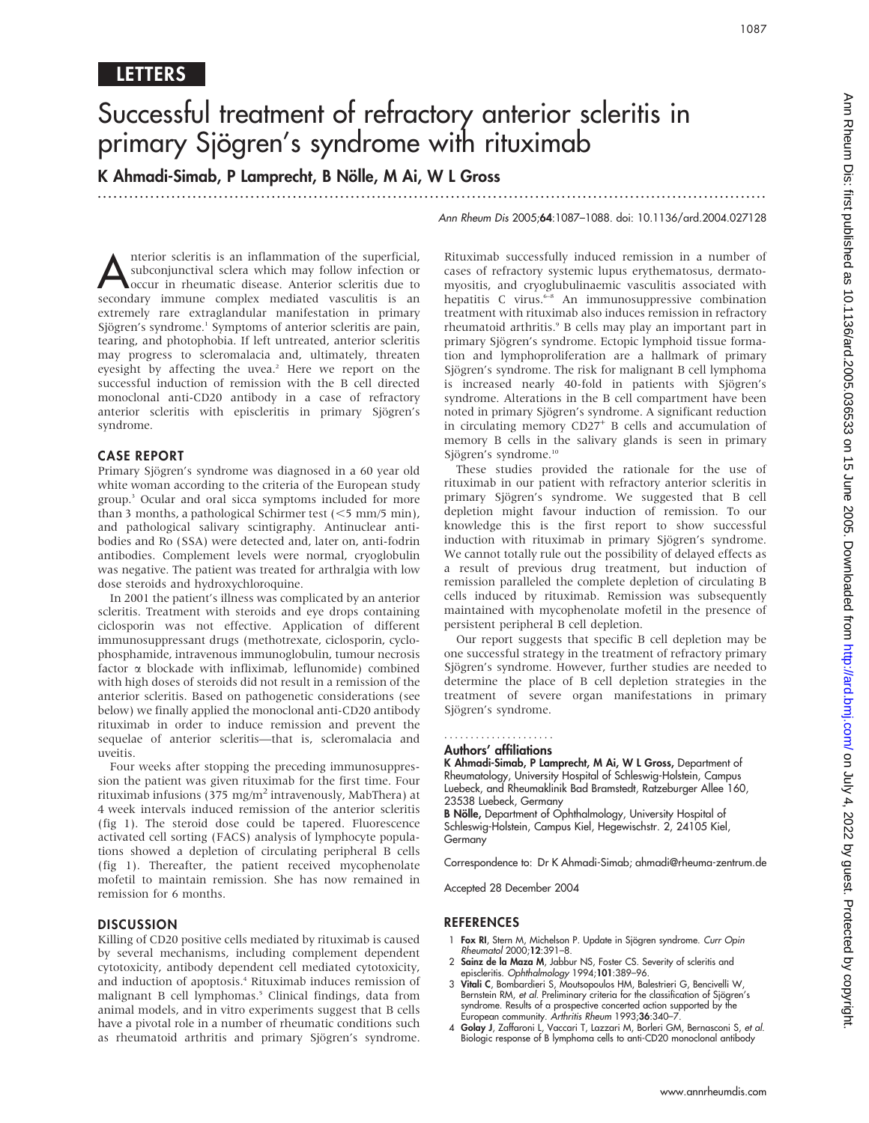### **LETTERS**

# Successful treatment of refractory anterior scleritis in primary Sjögren's syndrome with rituximab

K Ahmadi-Simab, P Lamprecht, B Nölle, M Ai, W L Gross

...............................................................................................................................

Ann Rheum Dis 2005;64:1087–1088. doi: 10.1136/ard.2004.027128

**A**nterior scleritis is an inflammation of the superficial,<br>subconjunctival sclera which may follow infection or<br>occur in rheumatic disease. Anterior scleritis due to subconjunctival sclera which may follow infection or occur in rheumatic disease. Anterior scleritis due to secondary immune complex mediated vasculitis is an extremely rare extraglandular manifestation in primary Sjögren's syndrome.<sup>1</sup> Symptoms of anterior scleritis are pain, tearing, and photophobia. If left untreated, anterior scleritis may progress to scleromalacia and, ultimately, threaten eyesight by affecting the uvea.<sup>2</sup> Here we report on the successful induction of remission with the B cell directed monoclonal anti-CD20 antibody in a case of refractory anterior scleritis with episcleritis in primary Sjögren's syndrome.

### CASE REPORT

Primary Sjögren's syndrome was diagnosed in a 60 year old white woman according to the criteria of the European study group.3 Ocular and oral sicca symptoms included for more than 3 months, a pathological Schirmer test  $(<5$  mm/5 min), and pathological salivary scintigraphy. Antinuclear antibodies and Ro (SSA) were detected and, later on, anti-fodrin antibodies. Complement levels were normal, cryoglobulin was negative. The patient was treated for arthralgia with low dose steroids and hydroxychloroquine.

In 2001 the patient's illness was complicated by an anterior scleritis. Treatment with steroids and eye drops containing ciclosporin was not effective. Application of different immunosuppressant drugs (methotrexate, ciclosporin, cyclophosphamide, intravenous immunoglobulin, tumour necrosis factor a blockade with infliximab, leflunomide) combined with high doses of steroids did not result in a remission of the anterior scleritis. Based on pathogenetic considerations (see below) we finally applied the monoclonal anti-CD20 antibody rituximab in order to induce remission and prevent the sequelae of anterior scleritis—that is, scleromalacia and uveitis.

Four weeks after stopping the preceding immunosuppression the patient was given rituximab for the first time. Four rituximab infusions (375 mg/m<sup>2</sup> intravenously, MabThera) at 4 week intervals induced remission of the anterior scleritis (fig 1). The steroid dose could be tapered. Fluorescence activated cell sorting (FACS) analysis of lymphocyte populations showed a depletion of circulating peripheral B cells (fig 1). Thereafter, the patient received mycophenolate mofetil to maintain remission. She has now remained in remission for 6 months.

### **DISCUSSION**

Killing of CD20 positive cells mediated by rituximab is caused by several mechanisms, including complement dependent cytotoxicity, antibody dependent cell mediated cytotoxicity, and induction of apoptosis.<sup>4</sup> Rituximab induces remission of malignant B cell lymphomas.<sup>5</sup> Clinical findings, data from animal models, and in vitro experiments suggest that B cells have a pivotal role in a number of rheumatic conditions such as rheumatoid arthritis and primary Sjögren's syndrome. Rituximab successfully induced remission in a number of cases of refractory systemic lupus erythematosus, dermatomyositis, and cryoglubulinaemic vasculitis associated with hepatitis C virus.<sup>6–8</sup> An immunosuppressive combination treatment with rituximab also induces remission in refractory rheumatoid arthritis.<sup>9</sup> B cells may play an important part in primary Sjögren's syndrome. Ectopic lymphoid tissue formation and lymphoproliferation are a hallmark of primary Sjögren's syndrome. The risk for malignant B cell lymphoma is increased nearly 40-fold in patients with Sjögren's syndrome. Alterations in the B cell compartment have been noted in primary Sjögren's syndrome. A significant reduction in circulating memory  $CD27<sup>+</sup>$  B cells and accumulation of memory B cells in the salivary glands is seen in primary Sjögren's syndrome.<sup>10</sup>

These studies provided the rationale for the use of rituximab in our patient with refractory anterior scleritis in primary Sjögren's syndrome. We suggested that B cell depletion might favour induction of remission. To our knowledge this is the first report to show successful induction with rituximab in primary Sjögren's syndrome. We cannot totally rule out the possibility of delayed effects as a result of previous drug treatment, but induction of remission paralleled the complete depletion of circulating B cells induced by rituximab. Remission was subsequently maintained with mycophenolate mofetil in the presence of persistent peripheral B cell depletion.

Our report suggests that specific B cell depletion may be one successful strategy in the treatment of refractory primary Sjögren's syndrome. However, further studies are needed to determine the place of B cell depletion strategies in the treatment of severe organ manifestations in primary Sjögren's syndrome.

### Authors' affiliations .....................

K Ahmadi-Simab, P Lamprecht, M Ai, W L Gross, Department of Rheumatology, University Hospital of Schleswig-Holstein, Campus Luebeck, and Rheumaklinik Bad Bramstedt, Ratzeburger Allee 160, 23538 Luebeck, Germany

**B Nölle,** Department of Ophthalmology, University Hospital of Schleswig-Holstein, Campus Kiel, Hegewischstr. 2, 24105 Kiel, Germany

Correspondence to: Dr K Ahmadi-Simab; ahmadi@rheuma-zentrum.de

Accepted 28 December 2004

### REFERENCES

- 1 Fox RI, Stern M, Michelson P. Update in Sjögren syndrome. Curr Opin Rheumatol 2000;12:391–8.
- 2 Sainz de la Maza M, Jabbur NS, Foster CS. Severity of scleritis and episcleritis. Ophthalmology 1994;101:389-96.
- 3 Vitali C, Bombardieri S, Moutsopoulos HM, Balestrieri G, Bencivelli W, Bernstein RM, et al. Preliminary criteria for the classification of Sjögren's syndrome. Results of a prospective concerted action supported by the<br>European community. *Arthritis Rheum* 1993;**36**:340–7.
- 4 Golay J, Zaffaroni L, Vaccari T, Lazzari M, Borleri GM, Bernasconi S, et al. Biologic response of B lymphoma cells to anti-CD20 monoclonal antibody

1087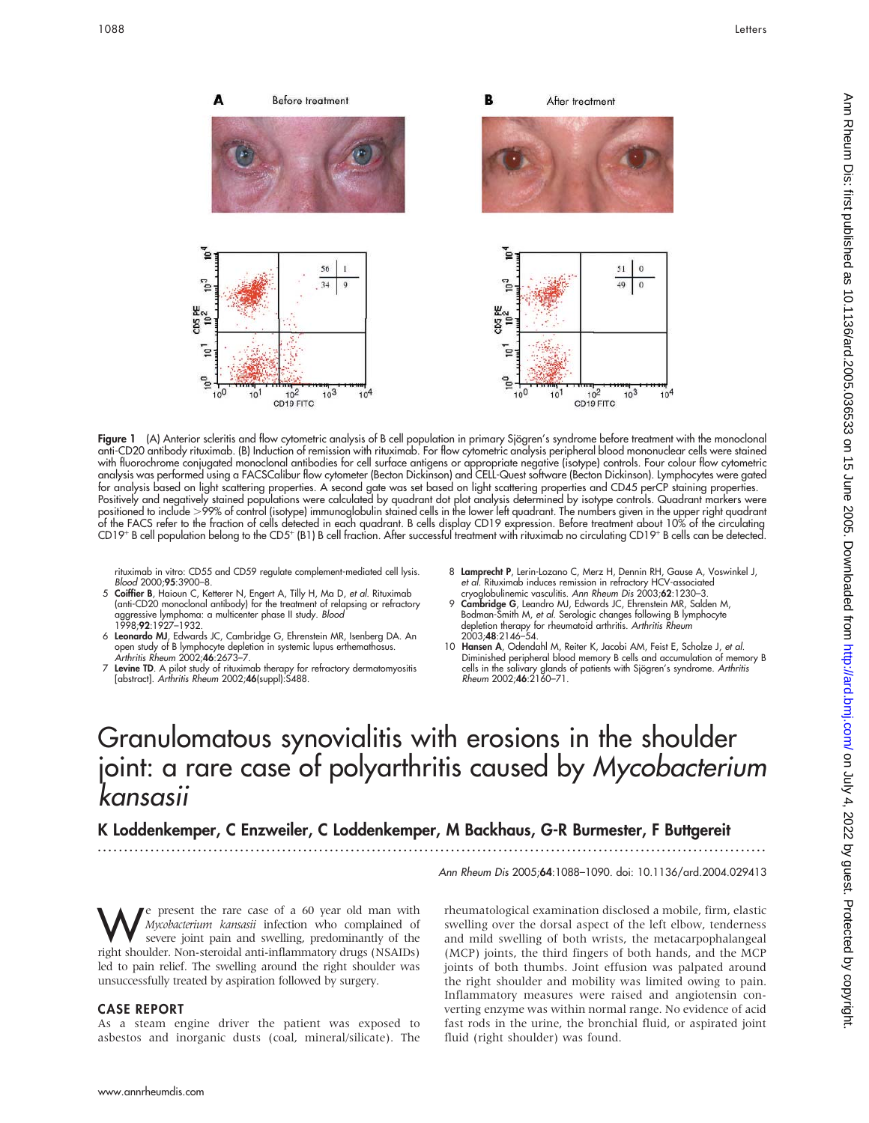

Figure 1 (A) Anterior scleritis and flow cytometric analysis of B cell population in primary Sjögren's syndrome before treatment with the monoclonal anti-CD20 antibody rituximab. (B) Induction of remission with rituximab. For flow cytometric analysis peripheral blood mononuclear cells were stained with fluorochrome conjugated monoclonal antibodies for cell surface antigens or appropriate negative (isotype) controls. Four colour flow cytometric analysis was performed using a FACSCalibur flow cytometer (Becton Dickinson) and CELL-Quest software (Becton Dickinson). Lymphocytes were gated for analysis based on light scattering properties. A second gate was set based on light scattering properties and CD45 perCP staining properties. Positively and negatively stained populations were calculated by quadrant dot plot analysis determined by isotype controls. Quadrant markers were positioned to include >99% of control (isotype) immunoglobulin stained cells in the lower left quadrant. The numbers given in the upper right quadrant of the FACS refer to the fraction of cells detected in each quadrant. B cells display CD19 expression. Before treatment about 10% of the circulating CD19<sup>+</sup> B cell population belong to the CD5<sup>+</sup> (B1) B cell fraction. After successful treatment with rituximab no circulating CD19<sup>+</sup> B cells can be detected.

rituximab in vitro: CD55 and CD59 regulate complement-mediated cell lysis. Blood 2000;95:3900–8.

- 5 Coiffier B, Haioun C, Ketterer N, Engert A, Tilly H, Ma D, et al. Rituximab (anti-CD20 monoclonal antibody) for the treatment of relapsing or refractory aggressive lymphoma: a multicenter phase II study. Blood 1998;92:1927–1932.
- 6 Leonardo MJ, Edwards JC, Cambridge G, Ehrenstein MR, Isenberg DA. An open study of B lymphocyte depletion in systemic lupus erthemathosus. Arthritis Rheum 2002;46:2673–7.
- 7 Levine TD. A pilot study of rituximab therapy for refractory dermatomyositis [abstract]. Arthritis Rheum 2002;46(suppl):S488.
- 8 Lamprecht P, Lerin-Lozano C, Merz H, Dennin RH, Gause A, Voswinkel J, et al. Rituximab induces remission in refractory HCV-associated
- cryoglobulinemic vasculitis. Ann Rheum Dis 2003;62:1230–3. 9 Cambridge G, Leandro MJ, Edwards JC, Ehrenstein MR, Salden M, Bodman-Smith M, *et al.* Serologic changes tollowing B lymphocyte<br>depletion therapy for rheumatoid arthritis. *Arthritis Rheum* 2003;48:2146–54.
- 10 Hansen A, Odendahl M, Reiter K, Jacobi AM, Feist E, Scholze J, et al. Diminished peripheral blood memory B cells and accumulation of memory B cells in the salivary glands of patients with Sjögren's syndrome. *Arthritis*<br>*Rheum* 2002;**46**:2160–71.

# Granulomatous synovialitis with erosions in the shoulder joint: a rare case of polyarthritis caused by Mycobacterium kansasii

K Loddenkemper, C Enzweiler, C Loddenkemper, M Backhaus, G-R Burmester, F Buttgereit

...............................................................................................................................

Ann Rheum Dis 2005;64:1088-1090. doi: 10.1136/ard.2004.029413

We present the rare case of a 60 year old man with<br>Mycobacterium kansasii infection who complained of<br>severe joint pain and swelling, predominantly of the<br>right choulder. Non starcidal anti-inflammatory drugs (NSAIDe) Mycobacterium kansasii infection who complained of severe joint pain and swelling, predominantly of the right shoulder. Non-steroidal anti-inflammatory drugs (NSAIDs) led to pain relief. The swelling around the right shoulder was unsuccessfully treated by aspiration followed by surgery.

### CASE REPORT

As a steam engine driver the patient was exposed to asbestos and inorganic dusts (coal, mineral/silicate). The

rheumatological examination disclosed a mobile, firm, elastic swelling over the dorsal aspect of the left elbow, tenderness and mild swelling of both wrists, the metacarpophalangeal (MCP) joints, the third fingers of both hands, and the MCP joints of both thumbs. Joint effusion was palpated around the right shoulder and mobility was limited owing to pain. Inflammatory measures were raised and angiotensin converting enzyme was within normal range. No evidence of acid fast rods in the urine, the bronchial fluid, or aspirated joint fluid (right shoulder) was found.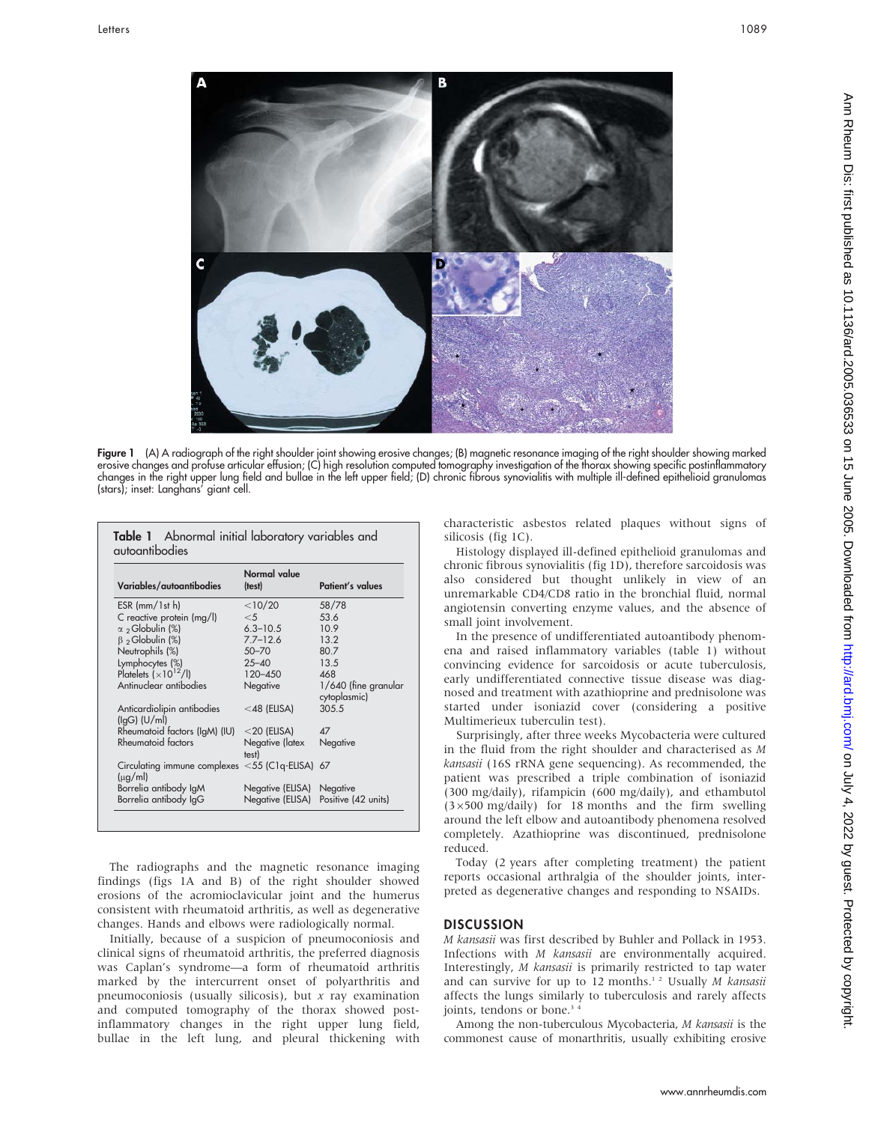

Figure 1 (A) A radiograph of the right shoulder joint showing erosive changes; (B) magnetic resonance imaging of the right shoulder showing marked erosive changes and profuse articular effusion; (C) high resolution computed tomography investigation of the thorax showing specific postinflammatory changes in the right upper lung field and bullae in the left upper field; (D) chronic fibrous synovialitis with multiple ill-defined epithelioid granulomas (stars); inset: Langhans' giant cell.

| Variables/autoantibodies                                           | Normal value<br>(test)   | Patient's values                     |  |
|--------------------------------------------------------------------|--------------------------|--------------------------------------|--|
| $ESR$ (mm/1st h)                                                   | <10/20                   | 58/78                                |  |
| C reactive protein (mg/l)                                          | $<$ 5                    | 53.6                                 |  |
| $\alpha$ 2 Globulin (%)                                            | $6.3 - 10.5$             | 10.9                                 |  |
| $\beta$ <sub>2</sub> Globulin (%)                                  | $7.7 - 12.6$             | 13.2                                 |  |
| Neutrophils (%)                                                    | $50 - 70$                | 80.7                                 |  |
| Lymphocytes (%)                                                    | $25 - 40$                | 13.5                                 |  |
| Platelets $(x10^{12}/I)$                                           | $120 - 450$              | 468                                  |  |
| Antinuclear antibodies                                             | Negative                 | 1/640 (fine granular<br>cytoplasmic) |  |
| Anticardiolipin antibodies<br>$(lqG)$ (U/ml)                       | $<$ 48 (ELISA)           | 305.5                                |  |
| Rheumatoid factors (IgM) (IU)                                      | $<$ 20 (ELISA)           | 47                                   |  |
| Rheumatoid factors                                                 | Negative (latex<br>test) | Negative                             |  |
| Circulating immune complexes $<$ 55 (C1q-ELISA) 67<br>$(\mu q/ml)$ |                          |                                      |  |
| Borrelia antibody IgM                                              | Negative (ELISA)         | Negative                             |  |
| Borrelia antibody IgG                                              | Negative (ELISA)         | Positive (42 units)                  |  |

The radiographs and the magnetic resonance imaging findings (figs 1A and B) of the right shoulder showed erosions of the acromioclavicular joint and the humerus consistent with rheumatoid arthritis, as well as degenerative changes. Hands and elbows were radiologically normal.

Initially, because of a suspicion of pneumoconiosis and clinical signs of rheumatoid arthritis, the preferred diagnosis was Caplan's syndrome—a form of rheumatoid arthritis marked by the intercurrent onset of polyarthritis and pneumoconiosis (usually silicosis), but  $x$  ray examination and computed tomography of the thorax showed postinflammatory changes in the right upper lung field, bullae in the left lung, and pleural thickening with

characteristic asbestos related plaques without signs of silicosis (fig 1C).

Histology displayed ill-defined epithelioid granulomas and chronic fibrous synovialitis (fig 1D), therefore sarcoidosis was also considered but thought unlikely in view of an unremarkable CD4/CD8 ratio in the bronchial fluid, normal angiotensin converting enzyme values, and the absence of small joint involvement.

In the presence of undifferentiated autoantibody phenomena and raised inflammatory variables (table 1) without convincing evidence for sarcoidosis or acute tuberculosis, early undifferentiated connective tissue disease was diagnosed and treatment with azathioprine and prednisolone was started under isoniazid cover (considering a positive Multimerieux tuberculin test).

Surprisingly, after three weeks Mycobacteria were cultured in the fluid from the right shoulder and characterised as M kansasii (16S rRNA gene sequencing). As recommended, the patient was prescribed a triple combination of isoniazid (300 mg/daily), rifampicin (600 mg/daily), and ethambutol  $(3\times500 \text{ mg/daily})$  for 18 months and the firm swelling around the left elbow and autoantibody phenomena resolved completely. Azathioprine was discontinued, prednisolone reduced.

Today (2 years after completing treatment) the patient reports occasional arthralgia of the shoulder joints, interpreted as degenerative changes and responding to NSAIDs.

### **DISCUSSION**

M kansasii was first described by Buhler and Pollack in 1953. Infections with M kansasii are environmentally acquired. Interestingly, M kansasii is primarily restricted to tap water and can survive for up to 12 months.<sup>12</sup> Usually  $M$  kansasii affects the lungs similarly to tuberculosis and rarely affects joints, tendons or bone.<sup>3</sup>

Among the non-tuberculous Mycobacteria, M kansasii is the commonest cause of monarthritis, usually exhibiting erosive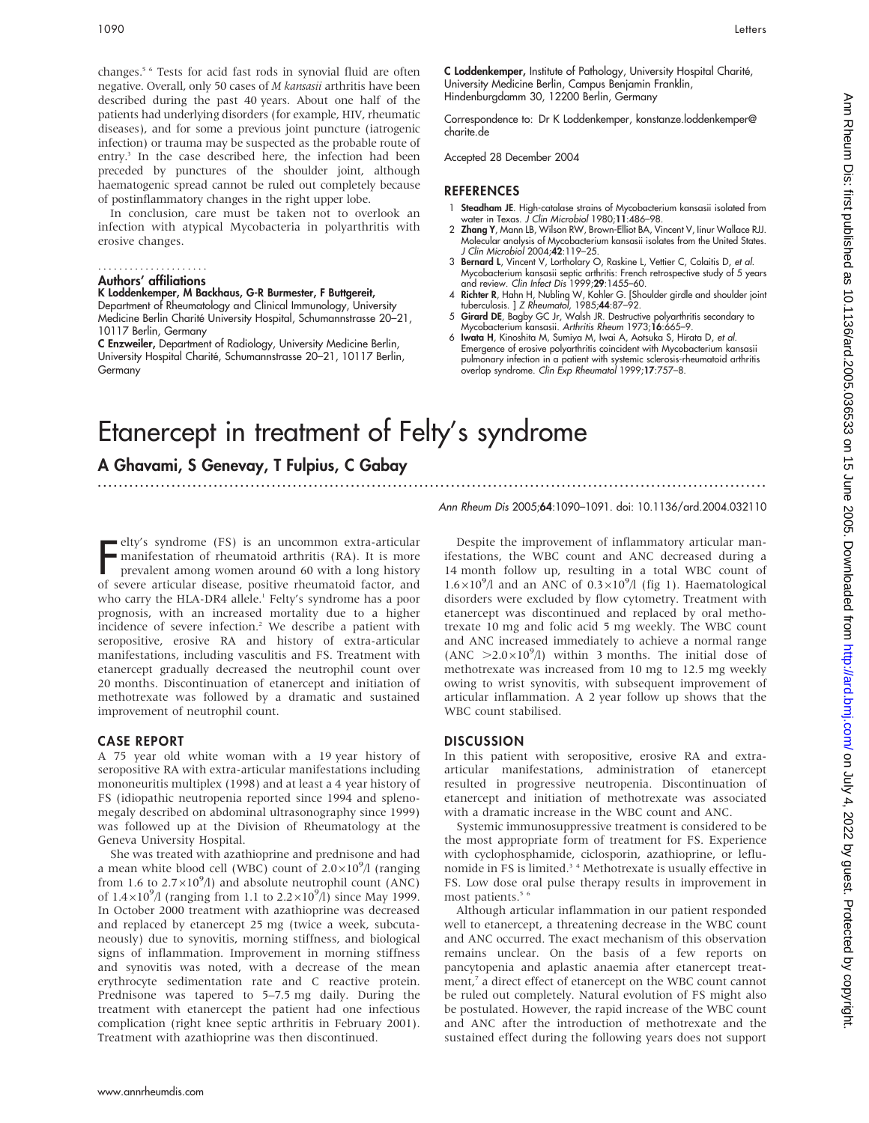changes.5 6 Tests for acid fast rods in synovial fluid are often negative. Overall, only 50 cases of *M kansasii* arthritis have been described during the past 40 years. About one half of the patients had underlying disorders (for example, HIV, rheumatic diseases), and for some a previous joint puncture (iatrogenic infection) or trauma may be suspected as the probable route of entry.<sup>3</sup> In the case described here, the infection had been preceded by punctures of the shoulder joint, although haematogenic spread cannot be ruled out completely because of postinflammatory changes in the right upper lobe.

In conclusion, care must be taken not to overlook an infection with atypical Mycobacteria in polyarthritis with erosive changes.

#### Authors' affiliations .....................

K Loddenkemper, M Backhaus, G-R Burmester, F Buttgereit, Department of Rheumatology and Clinical Immunology, University Medicine Berlin Charité University Hospital, Schumannstrasse 20-21, 10117 Berlin, Germany

C Enzweiler, Department of Radiology, University Medicine Berlin, University Hospital Charité, Schumannstrasse 20-21, 10117 Berlin, **Germany** 

C Loddenkemper, Institute of Pathology, University Hospital Charité, University Medicine Berlin, Campus Benjamin Franklin, Hindenburgdamm 30, 12200 Berlin, Germany

Correspondence to: Dr K Loddenkemper, konstanze.loddenkemper@ charite.de

Accepted 28 December 2004

### **REFERENCES**

- 1 Steadham JE. High-catalase strains of Mycobacterium kansasii isolated from water in Texas. J Clin Microbiol 1980;11:486–98.
- 2 Zhang Y, Mann LB, Wilson RW, Brown-Elliot BA, Vincent V, Iinur Wallace RJJ. Molecular analysis of Mycobacterium kansasii isolates from the United States. J Clin Microbiol 2004;42:119–25.
- 3 Bernard L, Vincent V, Lortholary O, Raskine L, Vettier C, Colaitis D, et al. Mycobacterium kansasii septic arthritis: French retrospective study of 5 years and review. *Clin Infect Dis* 1999;**29**:1455–60.
- 4 Richter R, Hahn H, Nubling W, Kohler G. [Shoulder girdle and shoulder joint tuberculosis. ] Z Rheumatol, 1985;44:87–92.
- 5 Girard DE, Bagby GC Jr, Walsh JR. Destructive polyarthritis secondary to Mycobacterium kansasii. Arthritis Rheum 1973;16:665–9.
- 6 Iwata H, Kinoshita M, Sumiya M, Iwai A, Aotsuka S, Hirata D, et al. Emergence of erosive polyarthritis coincident with Mycobacterium kansasii pulmonary infection in a patient with systemic sclerosis-rheumatoid arthritis overlap syndrome. Clin Exp Rheumatol 1999;17:757–8.

# Etanercept in treatment of Felty's syndrome

### A Ghavami, S Genevay, T Fulpius, C Gabay

...............................................................................................................................

Felty's syndrome (FS) is an uncommon extra-articular<br>manifestation of rheumatoid arthritis (RA). It is more<br>prevalent among women around 60 with a long history<br>of severe articular disease, positive rheumatoid factor, and elty's syndrome (FS) is an uncommon extra-articular manifestation of rheumatoid arthritis (RA). It is more prevalent among women around 60 with a long history who carry the HLA-DR4 allele.<sup>1</sup> Felty's syndrome has a poor prognosis, with an increased mortality due to a higher incidence of severe infection.<sup>2</sup> We describe a patient with seropositive, erosive RA and history of extra-articular manifestations, including vasculitis and FS. Treatment with etanercept gradually decreased the neutrophil count over 20 months. Discontinuation of etanercept and initiation of methotrexate was followed by a dramatic and sustained improvement of neutrophil count.

### CASE REPORT

A 75 year old white woman with a 19 year history of seropositive RA with extra-articular manifestations including mononeuritis multiplex (1998) and at least a 4 year history of FS (idiopathic neutropenia reported since 1994 and splenomegaly described on abdominal ultrasonography since 1999) was followed up at the Division of Rheumatology at the Geneva University Hospital.

She was treated with azathioprine and prednisone and had a mean white blood cell (WBC) count of  $2.0\times10^9$ /l (ranging from 1.6 to  $2.7 \times 10^{9}$ /l) and absolute neutrophil count (ANC) of  $1.4\times10^9$ /l (ranging from 1.1 to  $2.2\times10^9$ /l) since May 1999. In October 2000 treatment with azathioprine was decreased and replaced by etanercept 25 mg (twice a week, subcutaneously) due to synovitis, morning stiffness, and biological signs of inflammation. Improvement in morning stiffness and synovitis was noted, with a decrease of the mean erythrocyte sedimentation rate and C reactive protein. Prednisone was tapered to 5–7.5 mg daily. During the treatment with etanercept the patient had one infectious complication (right knee septic arthritis in February 2001). Treatment with azathioprine was then discontinued.

Ann Rheum Dis 2005;64:1090–1091. doi: 10.1136/ard.2004.032110

Despite the improvement of inflammatory articular manifestations, the WBC count and ANC decreased during a 14 month follow up, resulting in a total WBC count of  $1.6\times10^{9}$ /l and an ANC of 0.3 $\times10^{9}$ /l (fig 1). Haematological disorders were excluded by flow cytometry. Treatment with etanercept was discontinued and replaced by oral methotrexate 10 mg and folic acid 5 mg weekly. The WBC count and ANC increased immediately to achieve a normal range (ANC  $>2.0\times10^{9}$ /l) within 3 months. The initial dose of methotrexate was increased from 10 mg to 12.5 mg weekly owing to wrist synovitis, with subsequent improvement of articular inflammation. A 2 year follow up shows that the WBC count stabilised.

### **DISCUSSION**

In this patient with seropositive, erosive RA and extraarticular manifestations, administration of etanercept resulted in progressive neutropenia. Discontinuation of etanercept and initiation of methotrexate was associated with a dramatic increase in the WBC count and ANC.

Systemic immunosuppressive treatment is considered to be the most appropriate form of treatment for FS. Experience with cyclophosphamide, ciclosporin, azathioprine, or leflunomide in FS is limited.<sup>3</sup> <sup>4</sup> Methotrexate is usually effective in FS. Low dose oral pulse therapy results in improvement in most patients.<sup>5 6</sup>

Although articular inflammation in our patient responded well to etanercept, a threatening decrease in the WBC count and ANC occurred. The exact mechanism of this observation remains unclear. On the basis of a few reports on pancytopenia and aplastic anaemia after etanercept treatment,<sup>7</sup> a direct effect of etanercept on the WBC count cannot be ruled out completely. Natural evolution of FS might also be postulated. However, the rapid increase of the WBC count and ANC after the introduction of methotrexate and the sustained effect during the following years does not support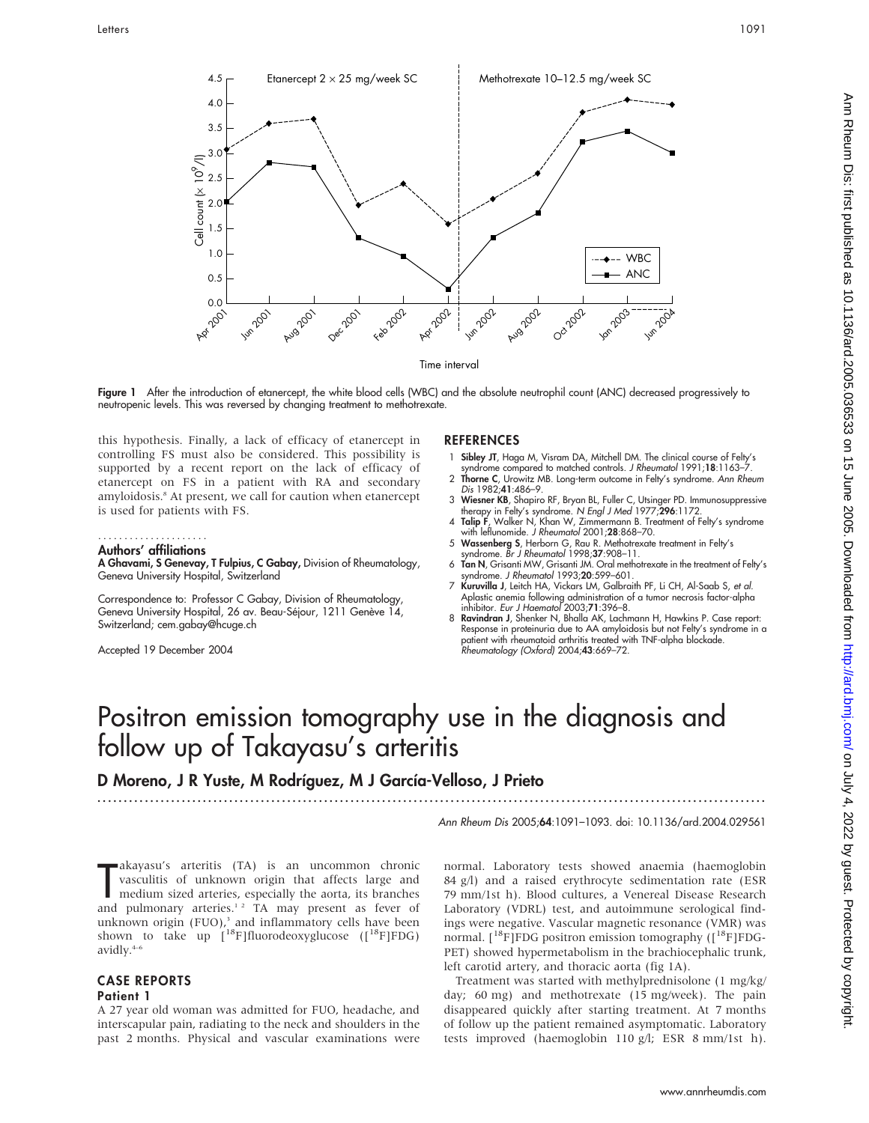

Figure 1 After the introduction of etanercept, the white blood cells (WBC) and the absolute neutrophil count (ANC) decreased progressively to neutropenic levels. This was reversed by changing treatment to methotrexate.

this hypothesis. Finally, a lack of efficacy of etanercept in controlling FS must also be considered. This possibility is supported by a recent report on the lack of efficacy of etanercept on FS in a patient with RA and secondary amyloidosis.<sup>8</sup> At present, we call for caution when etanercept is used for patients with FS.

#### Authors' affiliations .....................

A Ghavami, S Genevay, T Fulpius, C Gabay, Division of Rheumatology, Geneva University Hospital, Switzerland

Correspondence to: Professor C Gabay, Division of Rheumatology, Geneva University Hospital, 26 av. Beau-Séjour, 1211 Genève 14, Switzerland; cem.gabay@hcuge.ch

Accepted 19 December 2004

#### REFERENCES

- 1 Sibley JT, Haga M, Visram DA, Mitchell DM. The clinical course of Felty's
- syndrome compared to matched controls. J Rheumatol 1991;18:1163–7. 2 Thorne C, Urowitz MB. Long-term outcome in Felty's syndrome. Ann Rheum
- Dis 1982;41:486-9. 3 Wiesner KB, Shapiro RF, Bryan BL, Fuller C, Utsinger PD. Immunosuppressive
- therapy in Felty's syndrome. N Engl J Med 1977;**296**:1172.<br>4 **Talip F**, Walker N, Khan W, Zimmermann B. Treatment of Felty's syndrome<br>with leflunomide. J Rheumatol 2001;**28**:868–70.
- 5 Wassenberg S, Herborn G, Rau R. Methotrexate treatment in Felty's
- syndrome. Br J Rheumatol 1998;37:908-11.
- 6 Tan N, Grisanti MW, Grisanti JM. Oral methotrexate in the treatment of Felty's syndrome. J Rheumatol 1993;20:599-601.
- 7 Kuruvilla J, Leitch HA, Vickars LM, Galbraith PF, Li CH, Al-Saab S, et al. Aplastic anemia following administration of a tumor necrosis factor-alpha inhibitor. Eur J Haematol 2003;71:396–8.
- 8 Ravindran J, Shenker N, Bhalla AK, Lachmann H, Hawkins P. Case report: Response in proteinuria due to AA amyloidosis but not Felty's syndrome in a patient with rheumatoid arthritis treated with TNF-alpha blockade. Rheumatology (Oxford) 2004;43:669–72.

## Positron emission tomography use in the diagnosis and follow up of Takayasu's arteritis

...............................................................................................................................

D Moreno, J R Yuste, M Rodríquez, M J García-Velloso, J Prieto

Ann Rheum Dis 2005;64:1091–1093. doi: 10.1136/ard.2004.029561

akayasu's arteritis (TA) is an uncommon chronic<br>vasculitis of unknown origin that affects large and<br>medium sized arteries, especially the aorta, its branches<br>and pulmonary arteries.<sup>12</sup> TA may present as fever of akayasu's arteritis (TA) is an uncommon chronic vasculitis of unknown origin that affects large and medium sized arteries, especially the aorta, its branches unknown origin (FUO),<sup>3</sup> and inflammatory cells have been shown to take up  $[$ <sup>18</sup>F]fluorodeoxyglucose  $([$ <sup>18</sup>F]FDG) avidly. $4-6$ 

### CASE REPORTS Patient 1

A 27 year old woman was admitted for FUO, headache, and interscapular pain, radiating to the neck and shoulders in the past 2 months. Physical and vascular examinations were

normal. Laboratory tests showed anaemia (haemoglobin 84 g/l) and a raised erythrocyte sedimentation rate (ESR 79 mm/1st h). Blood cultures, a Venereal Disease Research Laboratory (VDRL) test, and autoimmune serological findings were negative. Vascular magnetic resonance (VMR) was normal.  $[{}^{18}F]FDG$  positron emission tomography  $([{}^{18}F]FDG$ -PET) showed hypermetabolism in the brachiocephalic trunk, left carotid artery, and thoracic aorta (fig 1A).

Treatment was started with methylprednisolone (1 mg/kg/ day; 60 mg) and methotrexate (15 mg/week). The pain disappeared quickly after starting treatment. At 7 months of follow up the patient remained asymptomatic. Laboratory tests improved (haemoglobin 110 g/l; ESR 8 mm/1st h).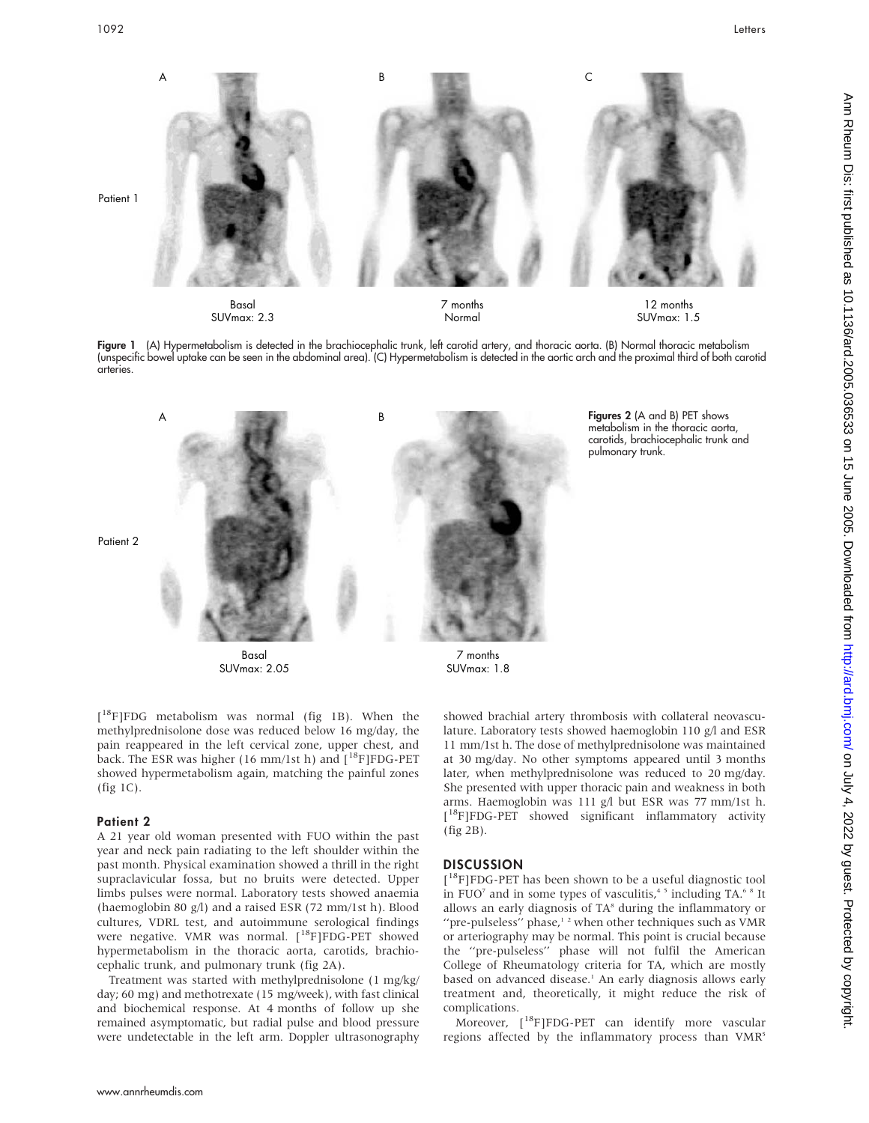

SUVmax: 2.3

Normal

12 months SUVmax: 1.5

Figure 1 (A) Hypermetabolism is detected in the brachiocephalic trunk, left carotid artery, and thoracic aorta. (B) Normal thoracic metabolism (unspecific bowel uptake can be seen in the abdominal area). (C) Hypermetabolism is detected in the aortic arch and the proximal third of both carotid arteries.



SUVmax: 2.05

metabolism in the thoracic aorta, carotids, brachiocephalic trunk and pulmonary trunk.

SUVmax: 1.8

[<sup>18</sup>F]FDG metabolism was normal (fig 1B). When the methylprednisolone dose was reduced below 16 mg/day, the pain reappeared in the left cervical zone, upper chest, and back. The ESR was higher (16 mm/1st h) and  $\int^{18}$ F]FDG-PET showed hypermetabolism again, matching the painful zones (fig 1C).

### Patient 2

A 21 year old woman presented with FUO within the past year and neck pain radiating to the left shoulder within the past month. Physical examination showed a thrill in the right supraclavicular fossa, but no bruits were detected. Upper limbs pulses were normal. Laboratory tests showed anaemia (haemoglobin 80 g/l) and a raised ESR (72 mm/1st h). Blood cultures, VDRL test, and autoimmune serological findings were negative. VMR was normal. [<sup>18</sup>F]FDG-PET showed hypermetabolism in the thoracic aorta, carotids, brachiocephalic trunk, and pulmonary trunk (fig 2A).

Treatment was started with methylprednisolone (1 mg/kg/ day; 60 mg) and methotrexate (15 mg/week), with fast clinical and biochemical response. At 4 months of follow up she remained asymptomatic, but radial pulse and blood pressure were undetectable in the left arm. Doppler ultrasonography Ann Rheum Dis: first published as 10.1136/ard.2005.036533 on 15 June 2005. Downloaded from http://ard.bmj.com/ on July 4, 2022 by guest. Protected by copyright. on July 4, 2022 by guest. Protected by copyright. Protected by copyright. Protect by and Disc Republished as 10.127. And Disc as 10.126. And Discussion Discussion Discussion Discussion Discussion Discussion Discussion Disc

showed brachial artery thrombosis with collateral neovasculature. Laboratory tests showed haemoglobin 110 g/l and ESR 11 mm/1st h. The dose of methylprednisolone was maintained at 30 mg/day. No other symptoms appeared until 3 months later, when methylprednisolone was reduced to 20 mg/day. She presented with upper thoracic pain and weakness in both arms. Haemoglobin was 111 g/l but ESR was 77 mm/1st h. [<sup>18</sup>F]FDG-PET showed significant inflammatory activity (fig 2B).

### **DISCUSSION**

[<sup>18</sup>F]FDG-PET has been shown to be a useful diagnostic tool in FUO<sup>7</sup> and in some types of vasculitis,<sup>45</sup> including TA.<sup>68</sup> It allows an early diagnosis of TA<sup>8</sup> during the inflammatory or "pre-pulseless" phase,<sup>12</sup> when other techniques such as VMR or arteriography may be normal. This point is crucial because the ''pre-pulseless'' phase will not fulfil the American College of Rheumatology criteria for TA, which are mostly based on advanced disease.<sup>1</sup> An early diagnosis allows early treatment and, theoretically, it might reduce the risk of complications.

Moreover, [<sup>18</sup>F]FDG-PET can identify more vascular regions affected by the inflammatory process than VMR<sup>5</sup>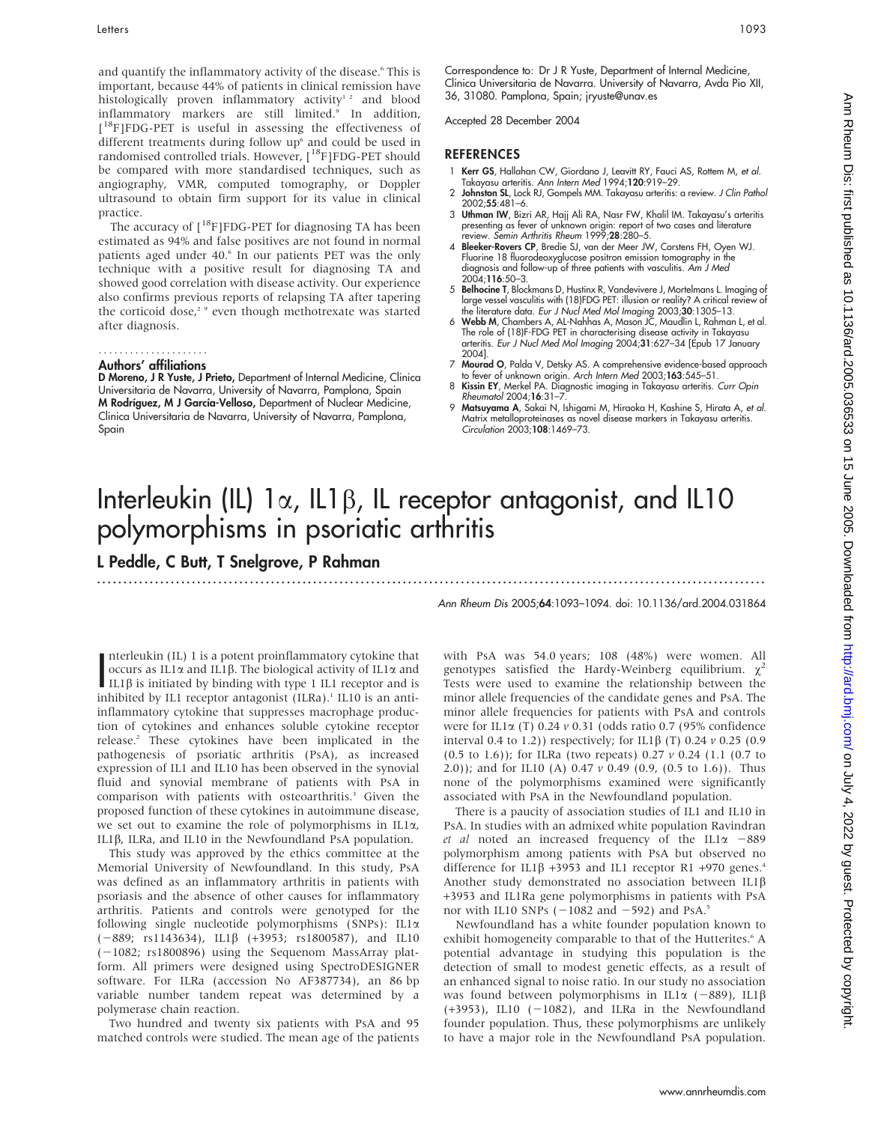and quantify the inflammatory activity of the disease.<sup>6</sup> This is important, because 44% of patients in clinical remission have histologically proven inflammatory activity<sup>12</sup> and blood inflammatory markers are still limited.<sup>9</sup> In addition, [<sup>18</sup>F]FDG-PET is useful in assessing the effectiveness of different treatments during follow up<sup>6</sup> and could be used in randomised controlled trials. However, [<sup>18</sup>F]FDG-PET should be compared with more standardised techniques, such as angiography, VMR, computed tomography, or Doppler ultrasound to obtain firm support for its value in clinical practice.

The accuracy of  $[{}^{18}F]FDG-PET$  for diagnosing TA has been estimated as 94% and false positives are not found in normal patients aged under 40.6 In our patients PET was the only technique with a positive result for diagnosing TA and showed good correlation with disease activity. Our experience also confirms previous reports of relapsing TA after tapering the corticoid dose,<sup>2</sup> <sup>9</sup> even though methotrexate was started after diagnosis.

#### Authors' affiliations .....................

D Moreno, J R Yuste, J Prieto, Department of Internal Medicine, Clinica Universitaria de Navarra, University of Navarra, Pamplona, Spain M Rodríguez, M J García-Velloso, Department of Nuclear Medicine, Clinica Universitaria de Navarra, University of Navarra, Pamplona, Spain

Correspondence to: Dr J R Yuste, Department of Internal Medicine, Clinica Universitaria de Navarra. University of Navarra, Avda Pio XII, 36, 31080. Pamplona, Spain; jryuste@unav.es

Accepted 28 December 2004

### **REFERENCES**

- Kerr GS, Hallahan CW, Giordano J, Leavitt RY, Fauci AS, Rottem M, et al. Takayasu arteritis. Ann Intern Med 1994;120:919–29.
- 2 Johnston SL, Lock RJ, Gompels MM. Takayasu arteritis: a review. J Clin Pathol 2002;55:481–6.
- 3 Uthman IW, Bizri AR, Hajj Ali RA, Nasr FW, Khalil IM. Takayasu's arteritis presenting as fever of unknown origin: report of two cases and literature review. Semin Arthritis Rheum 1999;28:280–5.
- 4 Bleeker-Rovers CP, Bredie SJ, van der Meer JW, Corstens FH, Oyen WJ. Fluorine 18 fluorodeoxyglucose positron emission tomography in the diagnosis and follow-up of three patients with vasculitis. Am J Med 2004;116:50–3.
- 5 **Belhocine T**, Blockmans D, Hustinx R, Vandevivere J, Mortelmans L. Imaging of<br>Iarge vessel vasculitis with (18)FDG PET: illusion or reality? A critical review of<br>the literature data. *Eur J Nucl Med Mol Imaging 2*003;**3**
- The role of (18)F-FDG PET in characterising disease activity in Takayasu arteritis. Eur J Nucl Med Mol Imaging 2004;31:627-34 [Épub 17 January 2004].
- 7 Mourad O, Palda V, Detsky AS. A comprehensive evidence-based approach to fever of unknown origin. Arch Intern Med 2003;163:545–51.
- 8 Kissin EY, Merkel PA. Diagnostic imaging in Takayasu arteritis. Curr Opin Rheumatol 2004;16:31–7.
- 9 Matsuyama A, Sakai N, Ishigami M, Hiraoka H, Kashine S, Hirata A, et al. Matrix metalloproteinases as novel disease markers in Takayasu arteritis. Circulation 2003;108:1469–73.

# Interleukin (IL)  $1\alpha$ , IL1 $\beta$ , IL receptor antagonist, and IL10 polymorphisms in psoriatic arthritis

...............................................................................................................................

L Peddle, C Butt, T Snelgrove, P Rahman

Ann Rheum Dis 2005;64:1093–1094. doi: 10.1136/ard.2004.031864

nterleukin (IL) 1 is a potent prointilammatory cytokine that<br>  $\text{occurs}$  as IL1 $\alpha$  and IL1 $\beta$ . The biological activity of IL1 $\alpha$  and<br>  $\text{in} \text{Lif} \beta$  is initiated by binding with type 1 IL1 receptor and is<br>  $\text{Lif} \beta$  is nterleukin (IL) 1 is a potent proinflammatory cytokine that occurs as IL1 $\alpha$  and IL1 $\beta$ . The biological activity of IL1 $\alpha$  and inhibited by IL1 receptor antagonist  $(ILRa)^1$  IL10 is an antiinflammatory cytokine that suppresses macrophage production of cytokines and enhances soluble cytokine receptor release.2 These cytokines have been implicated in the pathogenesis of psoriatic arthritis (PsA), as increased expression of IL1 and IL10 has been observed in the synovial fluid and synovial membrane of patients with PsA in comparison with patients with osteoarthritis.<sup>3</sup> Given the proposed function of these cytokines in autoimmune disease, we set out to examine the role of polymorphisms in IL1a, IL1b, ILRa, and IL10 in the Newfoundland PsA population.

This study was approved by the ethics committee at the Memorial University of Newfoundland. In this study, PsA was defined as an inflammatory arthritis in patients with psoriasis and the absence of other causes for inflammatory arthritis. Patients and controls were genotyped for the following single nucleotide polymorphisms (SNPs): IL1a  $(-889; \text{ rs1143634}), \text{ IL1}\beta (+3953; \text{ rs1800587}), \text{ and IL10}$ (-1082; rs1800896) using the Sequenom MassArray platform. All primers were designed using SpectroDESIGNER software. For ILRa (accession No AF387734), an 86 bp variable number tandem repeat was determined by a polymerase chain reaction.

Two hundred and twenty six patients with PsA and 95 matched controls were studied. The mean age of the patients with PsA was 54.0 years; 108 (48%) were women. All genotypes satisfied the Hardy-Weinberg equilibrium.  $\chi^2$ Tests were used to examine the relationship between the minor allele frequencies of the candidate genes and PsA. The minor allele frequencies for patients with PsA and controls were for IL1 $\alpha$  (T) 0.24 v 0.31 (odds ratio 0.7 (95% confidence interval 0.4 to 1.2)) respectively; for IL1 $\beta$  (T) 0.24  $\nu$  0.25 (0.9 (0.5 to 1.6)); for ILRa (two repeats) 0.27  $\nu$  0.24 (1.1 (0.7 to 2.0)); and for IL10 (A) 0.47 v 0.49 (0.9, (0.5 to 1.6)). Thus none of the polymorphisms examined were significantly associated with PsA in the Newfoundland population.

There is a paucity of association studies of IL1 and IL10 in PsA. In studies with an admixed white population Ravindran et al noted an increased frequency of the IL1 $\alpha$  -889 polymorphism among patients with PsA but observed no difference for IL1 $\beta$  +3953 and IL1 receptor R1 +970 genes.<sup>4</sup> Another study demonstrated no association between IL1 $\beta$ +3953 and IL1Ra gene polymorphisms in patients with PsA nor with IL10 SNPs  $(-1082$  and  $-592)$  and PsA.<sup>5</sup>

Newfoundland has a white founder population known to exhibit homogeneity comparable to that of the Hutterites.<sup>6</sup> A potential advantage in studying this population is the detection of small to modest genetic effects, as a result of an enhanced signal to noise ratio. In our study no association was found between polymorphisms in IL1 $\alpha$  (-889), IL1 $\beta$  $(+3953)$ , IL10  $(-1082)$ , and ILRa in the Newfoundland founder population. Thus, these polymorphisms are unlikely to have a major role in the Newfoundland PsA population.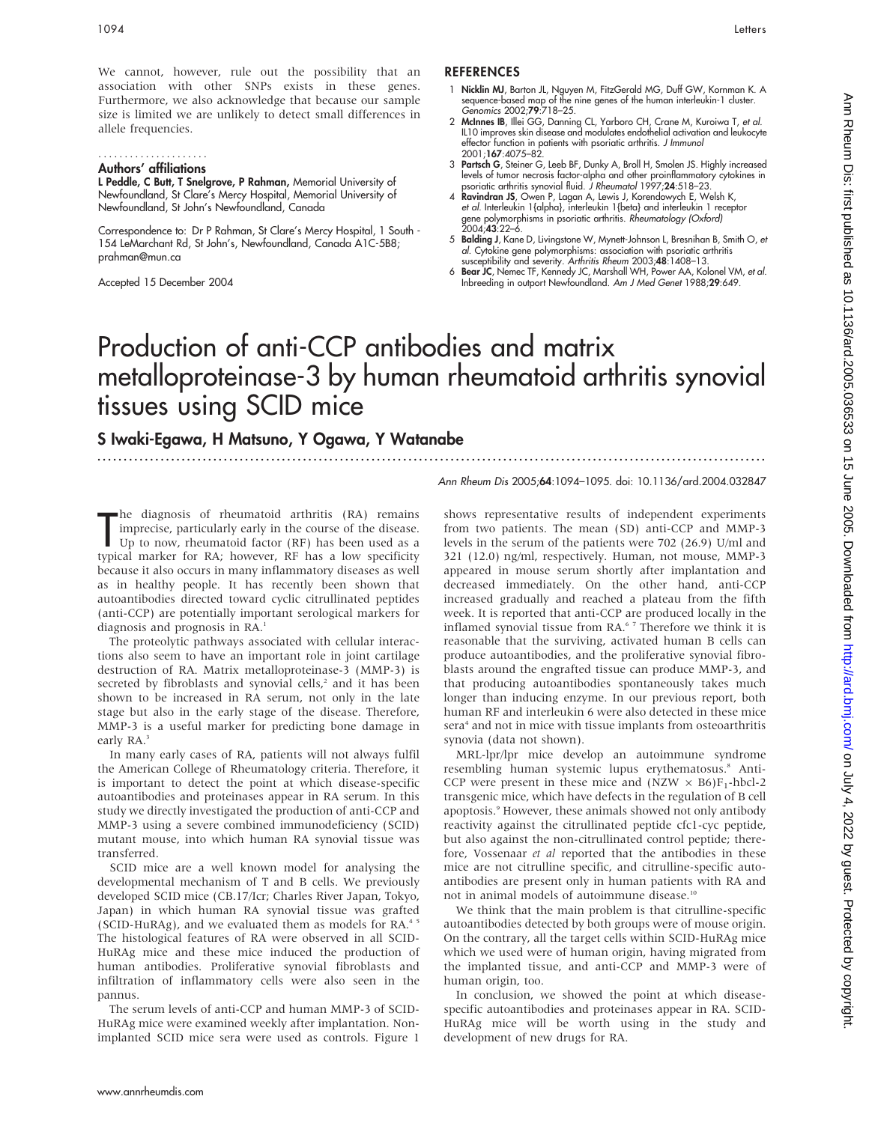We cannot, however, rule out the possibility that an association with other SNPs exists in these genes. Furthermore, we also acknowledge that because our sample size is limited we are unlikely to detect small differences in allele frequencies.

#### Authors' affiliations .....................

L Peddle, C Butt, T Snelgrove, P Rahman, Memorial University of Newfoundland, St Clare's Mercy Hospital, Memorial University of Newfoundland, St John's Newfoundland, Canada

Correspondence to: Dr P Rahman, St Clare's Mercy Hospital, 1 South - 154 LeMarchant Rd, St John's, Newfoundland, Canada A1C-5B8; prahman@mun.ca

Accepted 15 December 2004

### **REFERENCES**

- 1 Nicklin MJ, Barton JL, Nguyen M, FitzGerald MG, Duff GW, Kornman K. A sequence-based map of the nine genes of the human interleukin-1 cluster. Genomics 2002;79:718–25.
- 2 McInnes IB, Illei GG, Danning CL, Yarboro CH, Crane M, Kuroiwa T, et al. IL10 improves skin disease and modulates endothelial activation and leukocyte effector function in patients with psoriatic arthritis. *J Immunol*<br>2001;**167**:4075–82.
- 3 Partsch G, Steiner G, Leeb BF, Dunky A, Broll H, Smolen JS. Highly increased levels of tumor necrosis factor-alpha and other proinflammatory cytokines in psoriatic arthritis synovial fluid. J Rheumatol 1997;24:518–23.
- 4 Ravindran JS, Owen P, Lagan A, Lewis J, Korendowych E, Welsh K, et al. Interleukin 1{alpha}, interleukin 1{beta} and interleukin 1 receptor gene polymorphisms in psoriatic arthritis. Rheumatology (Oxford) 2004;43:22–6.
- 5 Balding J, Kane D, Livingstone W, Mynett-Johnson L, Bresnihan B, Smith O, et al. Cytokine gene polymorphisms: association with psoriatic arthritis susceptibility and severity. Arthritis Rheum 2003;48:1408–13.
- 6 Bear JC, Nemec TF, Kennedy JC, Marshall WH, Power AA, Kolonel VM, et al. Inbreeding in outport Newfoundland. Am J Med Genet 1988;29:649.

# Production of anti-CCP antibodies and matrix metalloproteinase-3 by human rheumatoid arthritis synovial tissues using SCID mice

...............................................................................................................................

### S Iwaki-Egawa, H Matsuno, Y Ogawa, Y Watanabe

Ann Rheum Dis 2005;64:1094–1095. doi: 10.1136/ard.2004.032847

The diagnosis of rheumatoid arthritis (KA) remains<br>
Up to now, rheumatoid factor (RF) has been used as a<br>
Up to now, rheumatoid factor (RF) has been used as a<br>
timical marker for PA: hourger PF has a low endition he diagnosis of rheumatoid arthritis (RA) remains imprecise, particularly early in the course of the disease. typical marker for RA; however, RF has a low specificity because it also occurs in many inflammatory diseases as well as in healthy people. It has recently been shown that autoantibodies directed toward cyclic citrullinated peptides (anti-CCP) are potentially important serological markers for diagnosis and prognosis in RA.<sup>1</sup>

The proteolytic pathways associated with cellular interactions also seem to have an important role in joint cartilage destruction of RA. Matrix metalloproteinase-3 (MMP-3) is secreted by fibroblasts and synovial cells,<sup>2</sup> and it has been shown to be increased in RA serum, not only in the late stage but also in the early stage of the disease. Therefore, MMP-3 is a useful marker for predicting bone damage in early RA.<sup>3</sup>

In many early cases of RA, patients will not always fulfil the American College of Rheumatology criteria. Therefore, it is important to detect the point at which disease-specific autoantibodies and proteinases appear in RA serum. In this study we directly investigated the production of anti-CCP and MMP-3 using a severe combined immunodeficiency (SCID) mutant mouse, into which human RA synovial tissue was transferred.

SCID mice are a well known model for analysing the developmental mechanism of T and B cells. We previously developed SCID mice (CB.17/Icr; Charles River Japan, Tokyo, Japan) in which human RA synovial tissue was grafted (SCID-HuRAg), and we evaluated them as models for RA.<sup>45</sup> The histological features of RA were observed in all SCID-HuRAg mice and these mice induced the production of human antibodies. Proliferative synovial fibroblasts and infiltration of inflammatory cells were also seen in the pannus.

The serum levels of anti-CCP and human MMP-3 of SCID-HuRAg mice were examined weekly after implantation. Nonimplanted SCID mice sera were used as controls. Figure 1 shows representative results of independent experiments from two patients. The mean (SD) anti-CCP and MMP-3 levels in the serum of the patients were 702 (26.9) U/ml and 321 (12.0) ng/ml, respectively. Human, not mouse, MMP-3 appeared in mouse serum shortly after implantation and decreased immediately. On the other hand, anti-CCP increased gradually and reached a plateau from the fifth week. It is reported that anti-CCP are produced locally in the inflamed synovial tissue from RA.<sup>67</sup> Therefore we think it is reasonable that the surviving, activated human B cells can produce autoantibodies, and the proliferative synovial fibroblasts around the engrafted tissue can produce MMP-3, and that producing autoantibodies spontaneously takes much longer than inducing enzyme. In our previous report, both human RF and interleukin 6 were also detected in these mice sera<sup>4</sup> and not in mice with tissue implants from osteoarthritis synovia (data not shown).

MRL-lpr/lpr mice develop an autoimmune syndrome resembling human systemic lupus erythematosus.<sup>8</sup> Anti-CCP were present in these mice and  $(NZW \times B6)F_1-hbcl-2$ transgenic mice, which have defects in the regulation of B cell apoptosis.<sup>9</sup> However, these animals showed not only antibody reactivity against the citrullinated peptide cfc1-cyc peptide, but also against the non-citrullinated control peptide; therefore, Vossenaar et al reported that the antibodies in these mice are not citrulline specific, and citrulline-specific autoantibodies are present only in human patients with RA and not in animal models of autoimmune disease.10

We think that the main problem is that citrulline-specific autoantibodies detected by both groups were of mouse origin. On the contrary, all the target cells within SCID-HuRAg mice which we used were of human origin, having migrated from the implanted tissue, and anti-CCP and MMP-3 were of human origin, too.

In conclusion, we showed the point at which diseasespecific autoantibodies and proteinases appear in RA. SCID-HuRAg mice will be worth using in the study and development of new drugs for RA.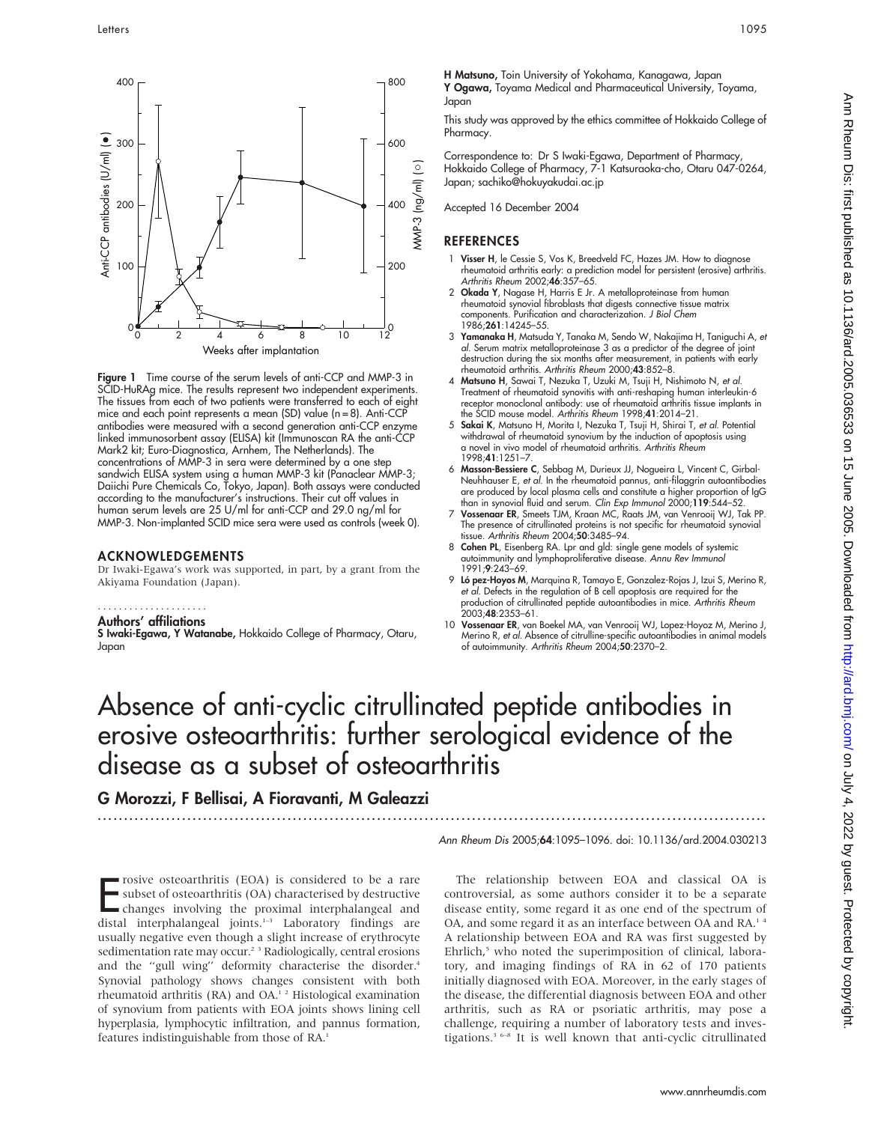

Figure 1 Time course of the serum levels of anti-CCP and MMP-3 in SCID-HuRAg mice. The results represent two independent experiments. The tissues from each of two patients were transferred to each of eight mice and each point represents a mean (SD) value (n = 8). Anti-CCP antibodies were measured with a second generation anti-CCP enzyme linked immunosorbent assay (ELISA) kit (Immunoscan RA the anti-CCP Mark2 kit; Euro-Diagnostica, Arnhem, The Netherlands). The concentrations of MMP-3 in sera were determined by a one step sandwich ELISA system using a human MMP-3 kit (Panaclear MMP-3; Daiichi Pure Chemicals Co, Tokyo, Japan). Both assays were conducted according to the manufacturer's instructions. Their cut off values in human serum levels are 25 U/ml for anti-CCP and 29.0 ng/ml for MMP-3. Non-implanted SCID mice sera were used as controls (week 0).

### ACKNOWLEDGEMENTS

Dr Iwaki-Egawa's work was supported, in part, by a grant from the Akiyama Foundation (Japan).

### .....................

Authors' affiliations

S Iwaki-Egawa, Y Watanabe, Hokkaido College of Pharmacy, Otaru, Japan

H Matsuno, Toin University of Yokohama, Kanagawa, Japan Y Ogawa, Toyama Medical and Pharmaceutical University, Toyama, Japan

This study was approved by the ethics committee of Hokkaido College of Pharmacy.

Correspondence to: Dr S Iwaki-Egawa, Department of Pharmacy, Hokkaido College of Pharmacy, 7-1 Katsuraoka-cho, Otaru 047-0264, Japan; sachiko@hokuyakudai.ac.jp

Accepted 16 December 2004

### **REFERENCES**

- 1 Visser H, le Cessie S, Vos K, Breedveld FC, Hazes JM. How to diagnose rheumatoid arthritis early: a prediction model for persistent (erosive) arthritis. Arthritis Rheum 2002;46:357–65.
- 2 Okada Y, Nagase H, Harris E Jr. A metalloproteinase from human rheumatoid synovial fibroblasts that digests connective tissue matrix components. Purification and characterization. J Biol Chem 1986;261:14245–55.
- 3 Yamanaka H, Matsuda Y, Tanaka M, Sendo W, Nakajima H, Taniguchi A, et al. Serum matrix metalloproteinase 3 as a predictor of the degree of joint destruction during the six months after measurement, in patients with early rheumatoid arthritis. Arthritis Rheum 2000;43:852–8.
- 4 Matsuno H, Sawai T, Nezuka T, Uzuki M, Tsuji H, Nishimoto N, et al. Treatment of rheumatoid synovitis with anti-reshaping human interleukin-6 receptor monoclonal antibody: use of rheumatoid arthritis tissue implants in the SCID mouse model. Arthritis Rheum 1998;41:2014–21.
- 5 Sakai K, Matsuno H, Morita I, Nezuka T, Tsuji H, Shirai T, et al. Potential withdrawal of rheumatoid synovium by the induction of apoptosis using a novel in vivo model of rheumatoid arthritis. Arthritis Rheum 1998;41:1251–7.
- 6 Masson-Bessiere C, Sebbag M, Durieux JJ, Nogueira L, Vincent C, Girbal-Neuhhauser E, et al. In the rheumatoid pannus, anti-filaggrin autoantibodies are produced by local plasma cells and constitute a higher proportion of IgG
- than in synovial fluid and serum. *Clin Exp Immunol* 2000;**119**:544–52.<br>7 **Vossenaar ER**, Smeets TJM, Kraan MC, Raats JM, van Venrooij WJ, Tak PP. The presence of citrullinated proteins is not specific for rheumatoid synovial tissue. Arthritis Rheum 2004;50:3485–94.
- 8 Cohen PL, Eisenberg RA. Lpr and gld: single gene models of systemic autoimmunity and lymphoproliferative disease. Annu Rev Immunol 1991;9:243–69.
- 9 Ló pez-Hoyos M, Marquina R, Tamayo E, Gonzalez-Rojas J, Izui S, Merino R, et al. Defects in the regulation of B cell apoptosis are required for the production of citrullinated peptide autoantibodies in mice. Arthritis Rheum 2003;48:2353–61.
- 10 Vossenaar ER, van Boekel MA, van Venrooij WJ, Lopez-Hoyoz M, Merino J, Merino R, et al. Absence of citrulline-specific autoantibodies in animal models of autoimmunity. Arthritis Rheum 2004;50:2370–2.

# Absence of anti-cyclic citrullinated peptide antibodies in erosive osteoarthritis: further serological evidence of the disease as a subset of osteoarthritis

...............................................................................................................................

G Morozzi, F Bellisai, A Fioravanti, M Galeazzi

Ann Rheum Dis 2005;64:1095–1096. doi: 10.1136/ard.2004.030213

Frosive osteoarthritis (EOA) is considered to be a rare<br>subset of osteoarthritis (OA) characterised by destructive<br>changes involving the proximal interphalangeal and<br>distal interphalangeal joints.<sup>1–3</sup> Laboratory findings rosive osteoarthritis (EOA) is considered to be a rare subset of osteoarthritis (OA) characterised by destructive changes involving the proximal interphalangeal and usually negative even though a slight increase of erythrocyte sedimentation rate may occur.<sup>2</sup><sup>3</sup> Radiologically, central erosions and the "gull wing" deformity characterise the disorder.<sup>4</sup> Synovial pathology shows changes consistent with both rheumatoid arthritis (RA) and OA.1 2 Histological examination of synovium from patients with EOA joints shows lining cell hyperplasia, lymphocytic infiltration, and pannus formation, features indistinguishable from those of RA.<sup>1</sup>

The relationship between EOA and classical OA is controversial, as some authors consider it to be a separate disease entity, some regard it as one end of the spectrum of OA, and some regard it as an interface between OA and RA.<sup>14</sup> A relationship between EOA and RA was first suggested by Ehrlich,<sup>5</sup> who noted the superimposition of clinical, laboratory, and imaging findings of RA in 62 of 170 patients initially diagnosed with EOA. Moreover, in the early stages of the disease, the differential diagnosis between EOA and other arthritis, such as RA or psoriatic arthritis, may pose a challenge, requiring a number of laboratory tests and investigations.3 6–8 It is well known that anti-cyclic citrullinated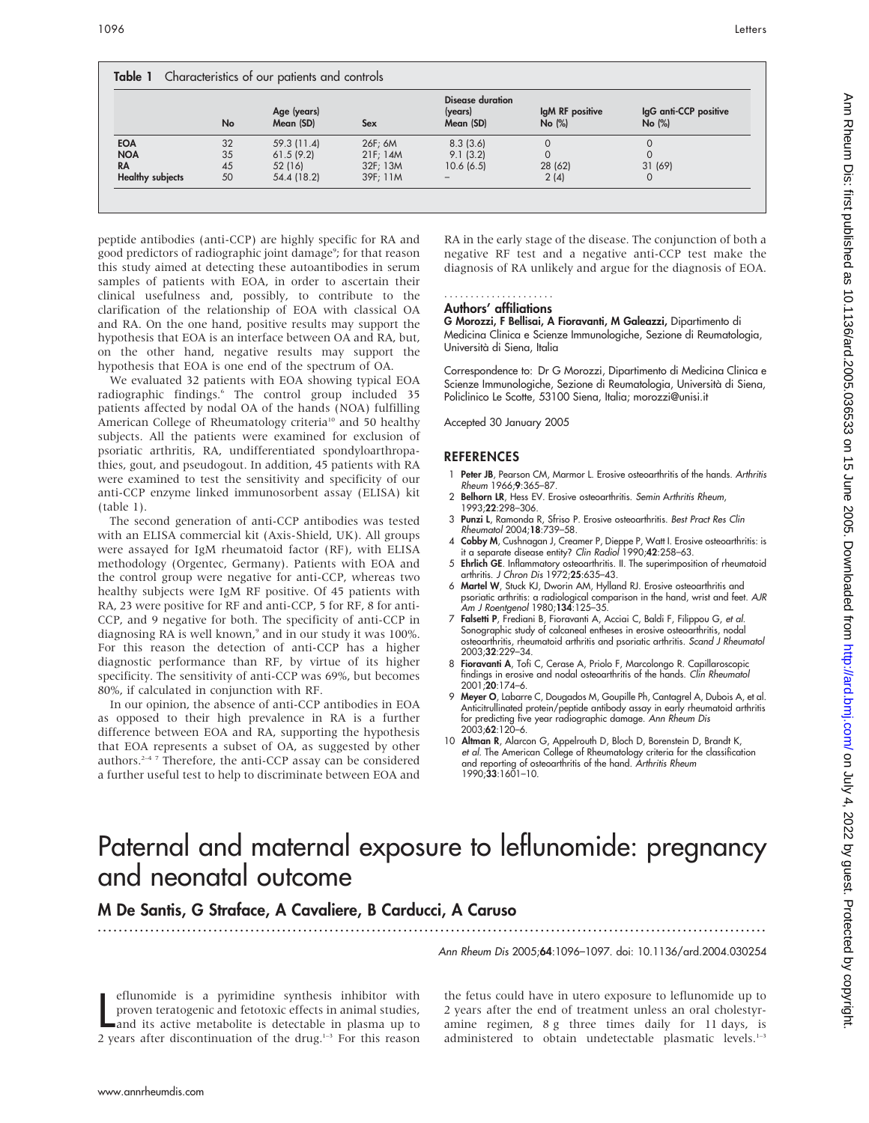| Table 1 Characteristics of our patients and controls |    |                          |          |                                                 |                           |                                 |
|------------------------------------------------------|----|--------------------------|----------|-------------------------------------------------|---------------------------|---------------------------------|
|                                                      | No | Age (years)<br>Mean (SD) | Sex      | <b>Disease duration</b><br>(years)<br>Mean (SD) | IgM RF positive<br>No (%) | IgG anti-CCP positive<br>No (%) |
| <b>EOA</b>                                           | 32 | 59.3 (11.4)              | 26F; 6M  | 8.3(3.6)                                        |                           |                                 |
| <b>NOA</b>                                           | 35 | 61.5(9.2)                | 21F; 14M | 9.1(3.2)                                        |                           |                                 |
| <b>RA</b>                                            | 45 | 52 (16)                  | 32F; 13M | 10.6(6.5)                                       | 28 (62)                   | 31(69)                          |
| <b>Healthy subjects</b>                              | 50 | 54.4 (18.2)              | 39F; 11M |                                                 | 2(4)                      | 0                               |

peptide antibodies (anti-CCP) are highly specific for RA and good predictors of radiographic joint damage<sup>9</sup>; for that reason this study aimed at detecting these autoantibodies in serum samples of patients with EOA, in order to ascertain their clinical usefulness and, possibly, to contribute to the clarification of the relationship of EOA with classical OA and RA. On the one hand, positive results may support the hypothesis that EOA is an interface between OA and RA, but, on the other hand, negative results may support the hypothesis that EOA is one end of the spectrum of OA.

We evaluated 32 patients with EOA showing typical EOA radiographic findings.<sup>6</sup> The control group included 35 patients affected by nodal OA of the hands (NOA) fulfilling American College of Rheumatology criteria<sup>10</sup> and 50 healthy subjects. All the patients were examined for exclusion of psoriatic arthritis, RA, undifferentiated spondyloarthropathies, gout, and pseudogout. In addition, 45 patients with RA were examined to test the sensitivity and specificity of our anti-CCP enzyme linked immunosorbent assay (ELISA) kit (table 1).

The second generation of anti-CCP antibodies was tested with an ELISA commercial kit (Axis-Shield, UK). All groups were assayed for IgM rheumatoid factor (RF), with ELISA methodology (Orgentec, Germany). Patients with EOA and the control group were negative for anti-CCP, whereas two healthy subjects were IgM RF positive. Of 45 patients with RA, 23 were positive for RF and anti-CCP, 5 for RF, 8 for anti-CCP, and 9 negative for both. The specificity of anti-CCP in diagnosing RA is well known,<sup>9</sup> and in our study it was 100%. For this reason the detection of anti-CCP has a higher diagnostic performance than RF, by virtue of its higher specificity. The sensitivity of anti-CCP was 69%, but becomes 80%, if calculated in conjunction with RF.

In our opinion, the absence of anti-CCP antibodies in EOA as opposed to their high prevalence in RA is a further difference between EOA and RA, supporting the hypothesis that EOA represents a subset of OA, as suggested by other authors. $247$  Therefore, the anti-CCP assay can be considered a further useful test to help to discriminate between EOA and RA in the early stage of the disease. The conjunction of both a negative RF test and a negative anti-CCP test make the diagnosis of RA unlikely and argue for the diagnosis of EOA.

### Authors' affiliations .....................

G Morozzi, F Bellisai, A Fioravanti, M Galeazzi, Dipartimento di Medicina Clinica e Scienze Immunologiche, Sezione di Reumatologia, Università di Siena, Italia

Correspondence to: Dr G Morozzi, Dipartimento di Medicina Clinica e Scienze Immunologiche, Sezione di Reumatologia, Università di Siena, Policlinico Le Scotte, 53100 Siena, Italia; morozzi@unisi.it

Accepted 30 January 2005

### **REFERENCES**

- 1 Peter JB, Pearson CM, Marmor L. Erosive osteoarthritis of the hands. Arthritis Rheum 1966;9:365–87.
- 2 Belhorn LR, Hess EV. Erosive osteoarthritis. Semin Arthritis Rheum, 1993;22:298–306.
- 3 Punzi L, Ramonda R, Sfriso P. Erosive osteoarthritis. Best Pract Res Clin Rheumatol 2004;18:739–58.
- 4 Cobby M, Cushnagan J, Creamer P, Dieppe P, Watt I. Erosive osteoarthritis: is it a separate disease entity? Clin Radiol 1990;42:258–63.
- 5 Ehrlich GE. Inflammatory osteoarthritis. II. The superimposition of rheumatoid arthritis. J Chron Dis 1972;25:635–43.
- 6 Martel W, Stuck KJ, Dworin AM, Hylland RJ. Erosive osteoarthritis and psoriatic arthritis: a radiological comparison in the hand, wrist and feet. AJR Am J Roentgenol 1980;134:125–35.
- 7 Falsetti P, Frediani B, Fioravanti A, Acciai C, Baldi F, Filippou G, et al. Sonographic study of calcaneal entheses in erosive osteoarthritis, nodal osteoarthritis, rheumatoid arthritis and psoriatic arthritis. Scand J Rheumatol 2003;32:229–34.
- 8 Fioravanti A, Tofi C, Cerase A, Priolo F, Marcolongo R. Capillaroscopic findings in erosive and nodal osteoarthritis of the hands. Clin Rheumatol 2001;20:174–6.
- 9 Meyer O, Labarre C, Dougados M, Goupille Ph, Cantagrel A, Dubois A, et al. Anticitrullinated protein/peptide antibody assay in early rheumatoid arthritis for predicting five year radiographic damage. Ann Rheum Dis 2003;62:120–6.
- 10 Altman R, Alarcon G, Appelrouth D, Bloch D, Borenstein D, Brandt K, et al. The American College of Rheumatology criteria for the classification and reporting of osteoarthritis of the hand. *Arthritis Rheum*<br>1990;**33**:1601–10.

# Paternal and maternal exposure to leflunomide: pregnancy and neonatal outcome

...............................................................................................................................

M De Santis, G Straface, A Cavaliere, B Carducci, A Caruso

Ann Rheum Dis 2005;64:1096–1097. doi: 10.1136/ard.2004.030254

efilunomide is a pyrimidine synthesis inhibitor with<br>proven teratogenic and fetotoxic effects in animal studies,<br>and its active metabolite is detectable in plasma up to<br>2 years after discontinuation of the drug.<sup>1-3</sup> For t eflunomide is a pyrimidine synthesis inhibitor with proven teratogenic and fetotoxic effects in animal studies, and its active metabolite is detectable in plasma up to

the fetus could have in utero exposure to leflunomide up to 2 years after the end of treatment unless an oral cholestyramine regimen, 8 g three times daily for 11 days, is administered to obtain undetectable plasmatic levels.<sup>1-3</sup>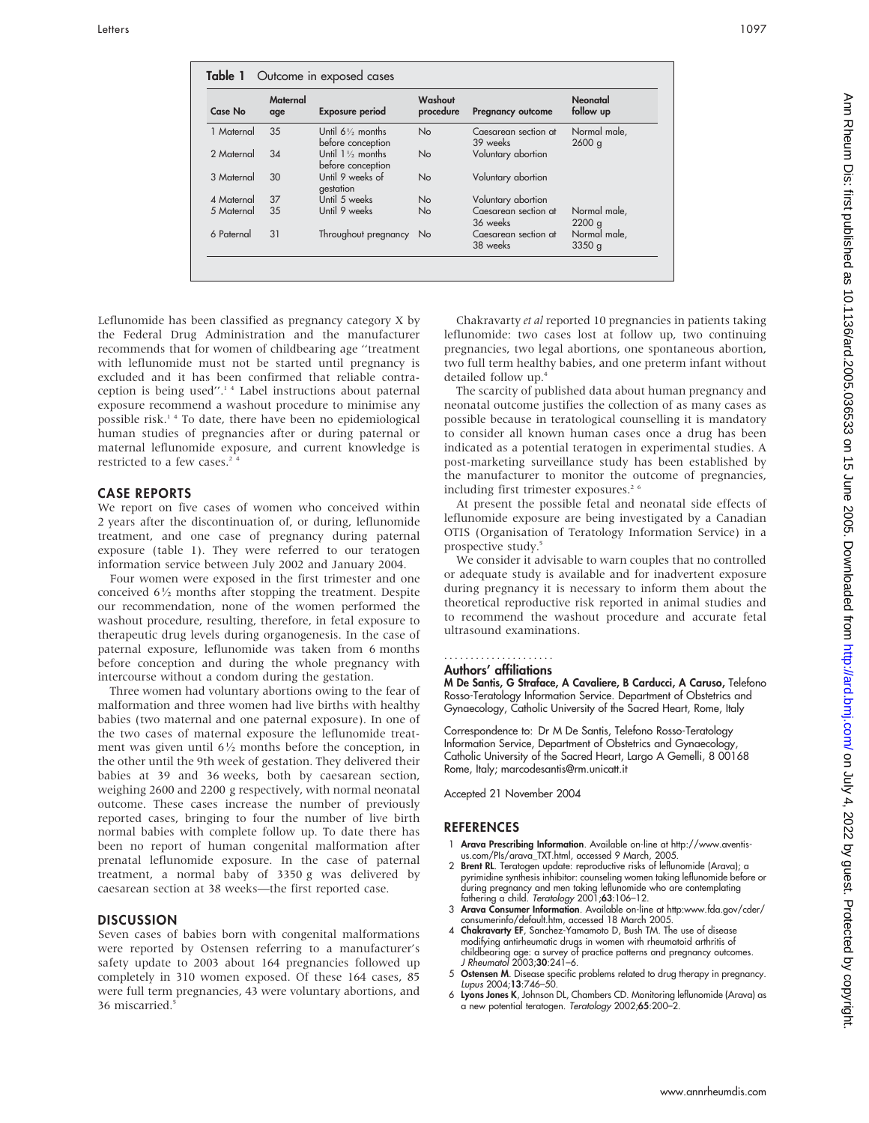| Case No    | Maternal<br>age | <b>Exposure period</b>                           | Washout<br>procedure | <b>Pregnancy outcome</b>         | Neonatal<br>follow up |
|------------|-----------------|--------------------------------------------------|----------------------|----------------------------------|-----------------------|
| 1 Maternal | 35              | Until $6\frac{1}{2}$ months<br>before conception | <b>No</b>            | Caesarean section at<br>39 weeks | Normal male,<br>2600q |
| 2 Maternal | 34              | Until $1\frac{1}{2}$ months<br>before conception | <b>No</b>            | Voluntary abortion               |                       |
| 3 Maternal | 30              | Until 9 weeks of<br>gestation                    | <b>No</b>            | Voluntary abortion               |                       |
| 4 Maternal | 37              | Until 5 weeks                                    | <b>No</b>            | Voluntary abortion               |                       |
| 5 Maternal | 35              | Until 9 weeks                                    | <b>No</b>            | Caesarean section at<br>36 weeks | Normal male,<br>2200q |
| 6 Paternal | 31              | Throughout pregnancy                             | N <sub>o</sub>       | Caesarean section at<br>38 weeks | Normal male,<br>3350g |

Leflunomide has been classified as pregnancy category X by the Federal Drug Administration and the manufacturer recommends that for women of childbearing age ''treatment with leflunomide must not be started until pregnancy is excluded and it has been confirmed that reliable contraception is being used''.1 4 Label instructions about paternal exposure recommend a washout procedure to minimise any possible risk.<sup>14</sup> To date, there have been no epidemiological human studies of pregnancies after or during paternal or maternal leflunomide exposure, and current knowledge is restricted to a few cases.<sup>2</sup>

### CASE REPORTS

We report on five cases of women who conceived within 2 years after the discontinuation of, or during, leflunomide treatment, and one case of pregnancy during paternal exposure (table 1). They were referred to our teratogen information service between July 2002 and January 2004.

Four women were exposed in the first trimester and one conceived  $6\frac{1}{2}$  months after stopping the treatment. Despite our recommendation, none of the women performed the washout procedure, resulting, therefore, in fetal exposure to therapeutic drug levels during organogenesis. In the case of paternal exposure, leflunomide was taken from 6 months before conception and during the whole pregnancy with intercourse without a condom during the gestation.

Three women had voluntary abortions owing to the fear of malformation and three women had live births with healthy babies (two maternal and one paternal exposure). In one of the two cases of maternal exposure the leflunomide treatment was given until  $6\frac{1}{2}$  months before the conception, in the other until the 9th week of gestation. They delivered their babies at 39 and 36 weeks, both by caesarean section, weighing 2600 and 2200 g respectively, with normal neonatal outcome. These cases increase the number of previously reported cases, bringing to four the number of live birth normal babies with complete follow up. To date there has been no report of human congenital malformation after prenatal leflunomide exposure. In the case of paternal treatment, a normal baby of 3350 g was delivered by caesarean section at 38 weeks—the first reported case.

### **DISCUSSION**

Seven cases of babies born with congenital malformations were reported by Ostensen referring to a manufacturer's safety update to 2003 about 164 pregnancies followed up completely in 310 women exposed. Of these 164 cases, 85 were full term pregnancies, 43 were voluntary abortions, and 36 miscarried.<sup>5</sup>

Chakravarty et al reported 10 pregnancies in patients taking leflunomide: two cases lost at follow up, two continuing pregnancies, two legal abortions, one spontaneous abortion, two full term healthy babies, and one preterm infant without detailed follow up.4

The scarcity of published data about human pregnancy and neonatal outcome justifies the collection of as many cases as possible because in teratological counselling it is mandatory to consider all known human cases once a drug has been indicated as a potential teratogen in experimental studies. A post-marketing surveillance study has been established by the manufacturer to monitor the outcome of pregnancies, including first trimester exposures.<sup>26</sup>

At present the possible fetal and neonatal side effects of leflunomide exposure are being investigated by a Canadian OTIS (Organisation of Teratology Information Service) in a prospective study.<sup>5</sup>

We consider it advisable to warn couples that no controlled or adequate study is available and for inadvertent exposure during pregnancy it is necessary to inform them about the theoretical reproductive risk reported in animal studies and to recommend the washout procedure and accurate fetal ultrasound examinations.

#### Authors' affiliations .....................

M De Santis, G Straface, A Cavaliere, B Carducci, A Caruso, Telefono Rosso-Teratology Information Service. Department of Obstetrics and Gynaecology, Catholic University of the Sacred Heart, Rome, Italy

Correspondence to: Dr M De Santis, Telefono Rosso-Teratology Information Service, Department of Obstetrics and Gynaecology, Catholic University of the Sacred Heart, Largo A Gemelli, 8 00168 Rome, Italy; marcodesantis@rm.unicatt.it

Accepted 21 November 2004

### **REFERENCES**

- 1 Arava Prescribing Information. Available on-line at http://www.aventisus.com/PIs/arava\_TXT.html, accessed 9 March, 2005.
- 2 Brent RL. Teratogen update: reproductive risks of leflunomide (Arava); a pyrimidine synthesis inhibitor: counseling women taking leflunomide before or during pregnancy and men taking leflunomide who are contemplating fathering a child. Teratology 2001;63:106-12.
- 3 Arava Consumer Information. Available on-line at http:www.fda.gov/cder/ consumerinfo/default.htm, accessed 18 March 2005.
- 4 Chakravarty EF, Sanchez-Yamamoto D, Bush TM. The use of disease modifying antirheumatic drugs in women with rheumatoid arthritis of childbearing age: a survey of practice patterns and pregnancy outcomes.<br>J Rheumatol 2003;**30**:241–6.
- 5 Ostensen M. Disease specific problems related to drug therapy in pregnancy. Lupus 2004;13:746–50.
- 6 Lyons Jones K, Johnson DL, Chambers CD. Monitoring leflunomide (Arava) as a new potential teratogen. Teratology 2002;65:200–2.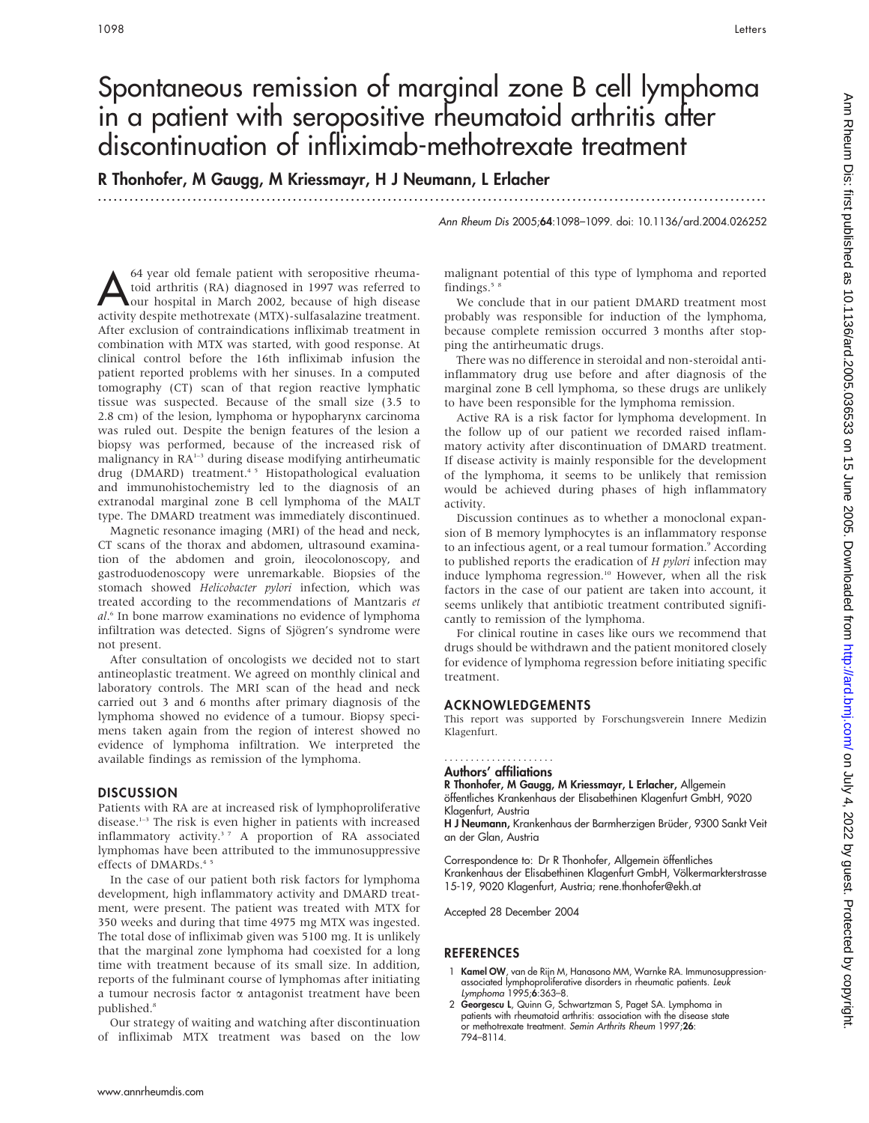Ann Rheum Dis: first published as 10.1136/ard 2005.036533 on 15 June 2005. Downloaded from http://ard.bm/ on July 4, 2022 by guest. Protected by copyright on July 4, 2022 by guest. Protected by copyright. Protected by copyright. Protect by and Disc Republished as 10.127. And Disc as 10.126. And Discussion Discussion Discussion Discussion Discussion Discussion Discussion Disc

# Spontaneous remission of marginal zone B cell lymphoma in a patient with seropositive rheumatoid arthritis after discontinuation of infliximab-methotrexate treatment

R Thonhofer, M Gaugg, M Kriessmayr, H J Neumann, L Erlacher

...............................................................................................................................

Ann Rheum Dis 2005;64:1098–1099. doi: 10.1136/ard.2004.026252

64 year old female patient with seropositive rheuma-<br>toid arthritis (RA) diagnosed in 1997 was referred to<br>our hospital in March 2002, because of high disease toid arthritis (RA) diagnosed in 1997 was referred to activity despite methotrexate (MTX)-sulfasalazine treatment. After exclusion of contraindications infliximab treatment in combination with MTX was started, with good response. At clinical control before the 16th infliximab infusion the patient reported problems with her sinuses. In a computed tomography (CT) scan of that region reactive lymphatic tissue was suspected. Because of the small size (3.5 to 2.8 cm) of the lesion, lymphoma or hypopharynx carcinoma was ruled out. Despite the benign features of the lesion a biopsy was performed, because of the increased risk of malignancy in  $RA<sup>1-3</sup>$  during disease modifying antirheumatic drug (DMARD) treatment.<sup>45</sup> Histopathological evaluation and immunohistochemistry led to the diagnosis of an extranodal marginal zone B cell lymphoma of the MALT type. The DMARD treatment was immediately discontinued.

Magnetic resonance imaging (MRI) of the head and neck, CT scans of the thorax and abdomen, ultrasound examination of the abdomen and groin, ileocolonoscopy, and gastroduodenoscopy were unremarkable. Biopsies of the stomach showed Helicobacter pylori infection, which was treated according to the recommendations of Mantzaris et al. <sup>6</sup> In bone marrow examinations no evidence of lymphoma infiltration was detected. Signs of Sjögren's syndrome were not present.

After consultation of oncologists we decided not to start antineoplastic treatment. We agreed on monthly clinical and laboratory controls. The MRI scan of the head and neck carried out 3 and 6 months after primary diagnosis of the lymphoma showed no evidence of a tumour. Biopsy specimens taken again from the region of interest showed no evidence of lymphoma infiltration. We interpreted the available findings as remission of the lymphoma.

### **DISCUSSION**

Patients with RA are at increased risk of lymphoproliferative disease.1–3 The risk is even higher in patients with increased inflammatory activity.<sup>37</sup> A proportion of RA associated lymphomas have been attributed to the immunosuppressive effects of DMARDs.<sup>45</sup>

In the case of our patient both risk factors for lymphoma development, high inflammatory activity and DMARD treatment, were present. The patient was treated with MTX for 350 weeks and during that time 4975 mg MTX was ingested. The total dose of infliximab given was 5100 mg. It is unlikely that the marginal zone lymphoma had coexisted for a long time with treatment because of its small size. In addition, reports of the fulminant course of lymphomas after initiating a tumour necrosis factor  $\alpha$  antagonist treatment have been published.<sup>8</sup>

Our strategy of waiting and watching after discontinuation of infliximab MTX treatment was based on the low malignant potential of this type of lymphoma and reported findings. $58$ 

We conclude that in our patient DMARD treatment most probably was responsible for induction of the lymphoma, because complete remission occurred 3 months after stopping the antirheumatic drugs.

There was no difference in steroidal and non-steroidal antiinflammatory drug use before and after diagnosis of the marginal zone B cell lymphoma, so these drugs are unlikely to have been responsible for the lymphoma remission.

Active RA is a risk factor for lymphoma development. In the follow up of our patient we recorded raised inflammatory activity after discontinuation of DMARD treatment. If disease activity is mainly responsible for the development of the lymphoma, it seems to be unlikely that remission would be achieved during phases of high inflammatory activity.

Discussion continues as to whether a monoclonal expansion of B memory lymphocytes is an inflammatory response to an infectious agent, or a real tumour formation.<sup>9</sup> According to published reports the eradication of  $H$  pylori infection may induce lymphoma regression.<sup>10</sup> However, when all the risk factors in the case of our patient are taken into account, it seems unlikely that antibiotic treatment contributed significantly to remission of the lymphoma.

For clinical routine in cases like ours we recommend that drugs should be withdrawn and the patient monitored closely for evidence of lymphoma regression before initiating specific treatment.

### ACKNOWLEDGEMENTS

This report was supported by Forschungsverein Innere Medizin Klagenfurt.

#### Authors' affiliations .....................

R Thonhofer, M Gaugg, M Kriessmayr, L Erlacher, Allgemein öffentliches Krankenhaus der Elisabethinen Klagenfurt GmbH, 9020 Klagenfurt, Austria

H J Neumann, Krankenhaus der Barmherzigen Brüder, 9300 Sankt Veit an der Glan, Austria

Correspondence to: Dr R Thonhofer, Allgemein öffentliches Krankenhaus der Elisabethinen Klagenfurt GmbH, Völkermarkterstrasse 15-19, 9020 Klagenfurt, Austria; rene.thonhofer@ekh.at

Accepted 28 December 2004

### **REFERENCES**

- 1 Kamel OW, van de Rijn M, Hanasono MM, Warnke RA. Immunosuppression-associated lymphoproliferative disorders in rheumatic patients. Leuk Lymphoma 1995;6:363–8.
- 2 Georgescu L, Quinn G, Schwartzman S, Paget SA. Lymphoma in patients with rheumatoid arthritis: association with the disease state or methotrexate treatment. Semin Arthrits Rheum 1997;26: 794–8114.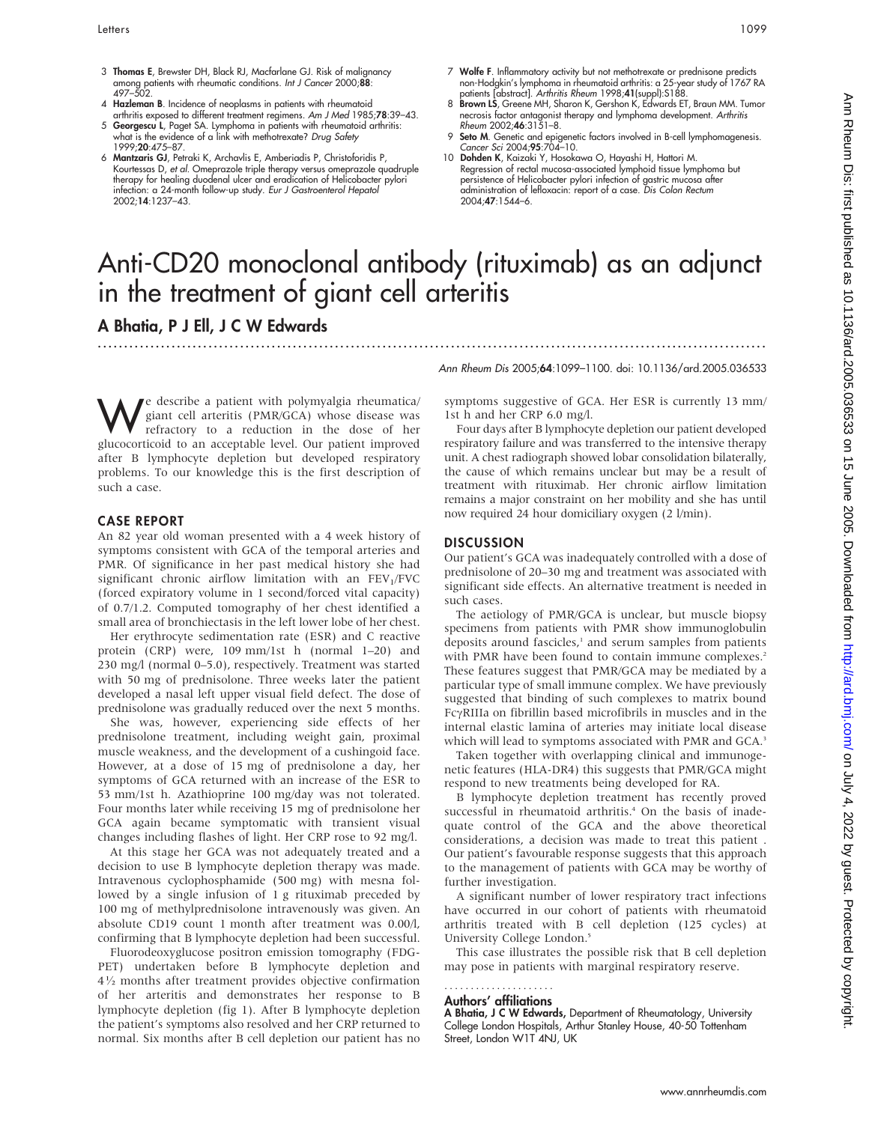- 3 Thomas E, Brewster DH, Black RJ, Macfarlane GJ. Risk of malignancy among patients with rheumatic conditions. Int J Cancer 2000;88: 497–502.
- 4 Hazleman B. Incidence of neoplasms in patients with rheumatoid arthritis exposed to different treatment regimens. Am J Med 1985;78:39–43.
- 5 Georgescu L, Paget SA. Lymphoma in patients with rheumatoid arthritis: what is the evidence of a link with methotrexate? Drug Safety 1999;20:475–87.
- 6 Mantzaris GJ, Petraki K, Archavlis E, Amberiadis P, Christoforidis P, Kourtessas D, et al. Omeprazole triple therapy versus omeprazole quadruple therapy for healing duodenal ulcer and eradication of Helicobacter pylori n: a 24-month follow-up study. Eur J Gastroenterol Hepatol 2002;14:1237–43.
- 7 Wolfe F. Inflammatory activity but not methotrexate or prednisone predicts non-Hodgkin's lymphoma in rheumatoid arthritis: a 25-year study of 1767 RA patients [abstract]. Arthritis Rheum 1998;41(suppl):S188.
- 8 Brown LS, Greene MH, Sharon K, Gershon K, Edwards ET, Braun MM. Tumor necrosis factor antagonist therapy and lymphoma development. Arthritis Rheum 2002;46:3151–8.
- 9 Seto M. Genetic and epigenetic factors involved in B-cell lymphomagenesis. Cancer Sci 2004;95:704–10.
- 10 Dohden K, Kaizaki Y, Hosokawa O, Hayashi H, Hattori M. Regression of rectal mucosa-associated lymphoid tissue lymphoma but persistence of Helicobacter pylori infection of gastric mucosa after administration of lefloxacin: report of a case. Dis Colon Rectum 2004;47:1544–6.

## Anti-CD20 monoclonal antibody (rituximab) as an adjunct in the treatment of giant cell arteritis

...............................................................................................................................

### A Bhatia, P J Ell, J C W Edwards

We describe a patient with polymyalgia rheumatica/<br>giant cell arteritis (PMR/GCA) whose disease was<br>refractory to a reduction in the dose of her giant cell arteritis (PMR/GCA) whose disease was refractory to a reduction in the dose of her glucocorticoid to an acceptable level. Our patient improved after B lymphocyte depletion but developed respiratory problems. To our knowledge this is the first description of such a case.

### CASE REPORT

An 82 year old woman presented with a 4 week history of symptoms consistent with GCA of the temporal arteries and PMR. Of significance in her past medical history she had significant chronic airflow limitation with an  $FEV<sub>1</sub>/FVC$ (forced expiratory volume in 1 second/forced vital capacity) of 0.7/1.2. Computed tomography of her chest identified a small area of bronchiectasis in the left lower lobe of her chest.

Her erythrocyte sedimentation rate (ESR) and C reactive protein (CRP) were, 109 mm/1st h (normal 1–20) and 230 mg/l (normal 0–5.0), respectively. Treatment was started with 50 mg of prednisolone. Three weeks later the patient developed a nasal left upper visual field defect. The dose of prednisolone was gradually reduced over the next 5 months.

She was, however, experiencing side effects of her prednisolone treatment, including weight gain, proximal muscle weakness, and the development of a cushingoid face. However, at a dose of 15 mg of prednisolone a day, her symptoms of GCA returned with an increase of the ESR to 53 mm/1st h. Azathioprine 100 mg/day was not tolerated. Four months later while receiving 15 mg of prednisolone her GCA again became symptomatic with transient visual changes including flashes of light. Her CRP rose to 92 mg/l.

At this stage her GCA was not adequately treated and a decision to use B lymphocyte depletion therapy was made. Intravenous cyclophosphamide (500 mg) with mesna followed by a single infusion of 1 g rituximab preceded by 100 mg of methylprednisolone intravenously was given. An absolute CD19 count 1 month after treatment was 0.00/l, confirming that B lymphocyte depletion had been successful.

Fluorodeoxyglucose positron emission tomography (FDG-PET) undertaken before B lymphocyte depletion and  $4\frac{1}{2}$  months after treatment provides objective confirmation of her arteritis and demonstrates her response to B lymphocyte depletion (fig 1). After B lymphocyte depletion the patient's symptoms also resolved and her CRP returned to normal. Six months after B cell depletion our patient has no symptoms suggestive of GCA. Her ESR is currently 13 mm/ 1st h and her CRP 6.0 mg/l.

Ann Rheum Dis 2005;64:1099–1100. doi: 10.1136/ard.2005.036533

Four days after B lymphocyte depletion our patient developed respiratory failure and was transferred to the intensive therapy unit. A chest radiograph showed lobar consolidation bilaterally, the cause of which remains unclear but may be a result of treatment with rituximab. Her chronic airflow limitation remains a major constraint on her mobility and she has until now required 24 hour domiciliary oxygen (2 l/min).

### **DISCUSSION**

Our patient's GCA was inadequately controlled with a dose of prednisolone of 20–30 mg and treatment was associated with significant side effects. An alternative treatment is needed in such cases.

The aetiology of PMR/GCA is unclear, but muscle biopsy specimens from patients with PMR show immunoglobulin deposits around fascicles,<sup>1</sup> and serum samples from patients with PMR have been found to contain immune complexes.<sup>2</sup> These features suggest that PMR/GCA may be mediated by a particular type of small immune complex. We have previously suggested that binding of such complexes to matrix bound FcyRIIIa on fibrillin based microfibrils in muscles and in the internal elastic lamina of arteries may initiate local disease which will lead to symptoms associated with PMR and GCA.<sup>3</sup>

Taken together with overlapping clinical and immunogenetic features (HLA-DR4) this suggests that PMR/GCA might respond to new treatments being developed for RA.

B lymphocyte depletion treatment has recently proved successful in rheumatoid arthritis.<sup>4</sup> On the basis of inadequate control of the GCA and the above theoretical considerations, a decision was made to treat this patient . Our patient's favourable response suggests that this approach to the management of patients with GCA may be worthy of further investigation.

A significant number of lower respiratory tract infections have occurred in our cohort of patients with rheumatoid arthritis treated with B cell depletion (125 cycles) at University College London.5

This case illustrates the possible risk that B cell depletion may pose in patients with marginal respiratory reserve.

### Authors' affiliations .....................

A Bhatia, J C W Edwards, Department of Rheumatology, University College London Hospitals, Arthur Stanley House, 40-50 Tottenham Street, London W1T 4NJ, UK